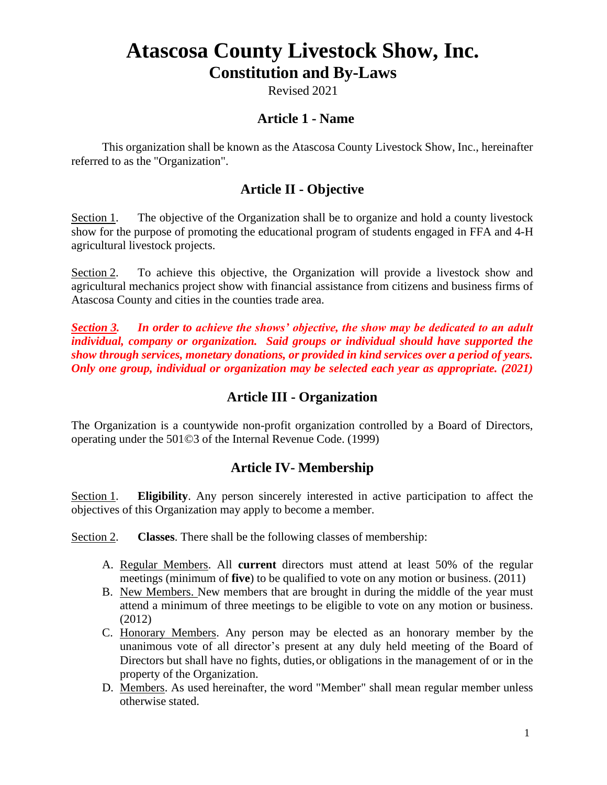# **Atascosa County Livestock Show, Inc. Constitution and By-Laws**

Revised 2021

### **Article 1 - Name**

This organization shall be known as the Atascosa County Livestock Show, Inc., hereinafter referred to as the "Organization".

### **Article II - Objective**

Section 1. The objective of the Organization shall be to organize and hold a county livestock show for the purpose of promoting the educational program of students engaged in FFA and 4-H agricultural livestock projects.

Section 2. To achieve this objective, the Organization will provide a livestock show and agricultural mechanics project show with financial assistance from citizens and business firms of Atascosa County and cities in the counties trade area.

*Section 3. In order to achieve the shows' objective, the show may be dedicated to an adult individual, company or organization. Said groups or individual should have supported the show through services, monetary donations, or provided in kind services over a period of years. Only one group, individual or organization may be selected each year as appropriate. (2021)*

### **Article III - Organization**

The Organization is a countywide non-profit organization controlled by a Board of Directors, operating under the 501©3 of the Internal Revenue Code. (1999)

#### **Article IV- Membership**

Section 1. **Eligibility**. Any person sincerely interested in active participation to affect the objectives of this Organization may apply to become a member.

Section 2. **Classes**. There shall be the following classes of membership:

- A. Regular Members. All **current** directors must attend at least 50% of the regular meetings (minimum of **five**) to be qualified to vote on any motion or business. (2011)
- B. New Members. New members that are brought in during the middle of the year must attend a minimum of three meetings to be eligible to vote on any motion or business. (2012)
- C. Honorary Members. Any person may be elected as an honorary member by the unanimous vote of all director's present at any duly held meeting of the Board of Directors but shall have no fights, duties,or obligations in the management of or in the property of the Organization.
- D. Members. As used hereinafter, the word "Member" shall mean regular member unless otherwise stated.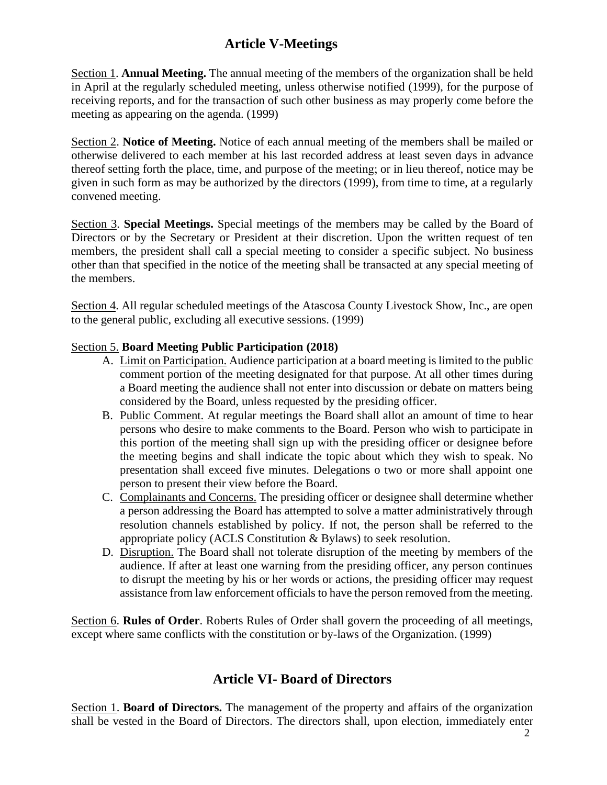### **Article V-Meetings**

Section 1. **Annual Meeting.** The annual meeting of the members of the organization shall be held in April at the regularly scheduled meeting, unless otherwise notified (1999), for the purpose of receiving reports, and for the transaction of such other business as may properly come before the meeting as appearing on the agenda. (1999)

Section 2. **Notice of Meeting.** Notice of each annual meeting of the members shall be mailed or otherwise delivered to each member at his last recorded address at least seven days in advance thereof setting forth the place, time, and purpose of the meeting; or in lieu thereof, notice may be given in such form as may be authorized by the directors (1999), from time to time, at a regularly convened meeting.

Section 3. **Special Meetings.** Special meetings of the members may be called by the Board of Directors or by the Secretary or President at their discretion. Upon the written request of ten members, the president shall call a special meeting to consider a specific subject. No business other than that specified in the notice of the meeting shall be transacted at any special meeting of the members.

Section 4. All regular scheduled meetings of the Atascosa County Livestock Show, Inc., are open to the general public, excluding all executive sessions. (1999)

#### Section 5. **Board Meeting Public Participation (2018)**

- A. Limit on Participation. Audience participation at a board meeting is limited to the public comment portion of the meeting designated for that purpose. At all other times during a Board meeting the audience shall not enter into discussion or debate on matters being considered by the Board, unless requested by the presiding officer.
- B. Public Comment. At regular meetings the Board shall allot an amount of time to hear persons who desire to make comments to the Board. Person who wish to participate in this portion of the meeting shall sign up with the presiding officer or designee before the meeting begins and shall indicate the topic about which they wish to speak. No presentation shall exceed five minutes. Delegations o two or more shall appoint one person to present their view before the Board.
- C. Complainants and Concerns. The presiding officer or designee shall determine whether a person addressing the Board has attempted to solve a matter administratively through resolution channels established by policy. If not, the person shall be referred to the appropriate policy (ACLS Constitution & Bylaws) to seek resolution.
- D. Disruption. The Board shall not tolerate disruption of the meeting by members of the audience. If after at least one warning from the presiding officer, any person continues to disrupt the meeting by his or her words or actions, the presiding officer may request assistance from law enforcement officials to have the person removed from the meeting.

Section 6. **Rules of Order**. Roberts Rules of Order shall govern the proceeding of all meetings, except where same conflicts with the constitution or by-laws of the Organization. (1999)

#### **Article VI- Board of Directors**

Section 1. **Board of Directors.** The management of the property and affairs of the organization shall be vested in the Board of Directors. The directors shall, upon election, immediately enter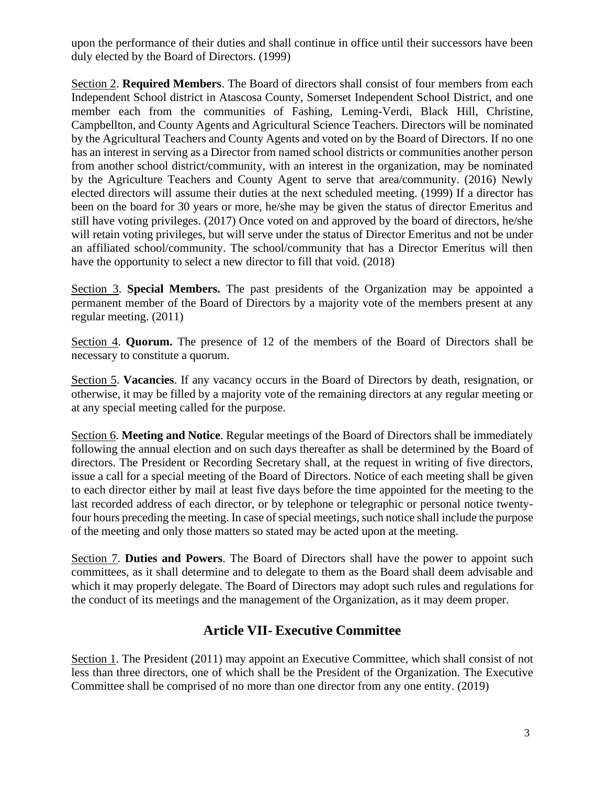upon the performance of their duties and shall continue in office until their successors have been duly elected by the Board of Directors. (1999)

Section 2. **Required Members**. The Board of directors shall consist of four members from each Independent School district in Atascosa County, Somerset Independent School District, and one member each from the communities of Fashing, Leming-Verdi, Black Hill, Christine, Campbellton, and County Agents and Agricultural Science Teachers. Directors will be nominated by the Agricultural Teachers and County Agents and voted on by the Board of Directors. If no one has an interest in serving as a Director from named school districts or communities another person from another school district/community, with an interest in the organization, may be nominated by the Agriculture Teachers and County Agent to serve that area/community. (2016) Newly elected directors will assume their duties at the next scheduled meeting. (1999) If a director has been on the board for 30 years or more, he/she may be given the status of director Emeritus and still have voting privileges. (2017) Once voted on and approved by the board of directors, he/she will retain voting privileges, but will serve under the status of Director Emeritus and not be under an affiliated school/community. The school/community that has a Director Emeritus will then have the opportunity to select a new director to fill that void. (2018)

Section 3. **Special Members.** The past presidents of the Organization may be appointed a permanent member of the Board of Directors by a majority vote of the members present at any regular meeting. (2011)

Section 4. **Quorum.** The presence of 12 of the members of the Board of Directors shall be necessary to constitute a quorum.

Section 5. **Vacancies**. If any vacancy occurs in the Board of Directors by death, resignation, or otherwise, it may be filled by a majority vote of the remaining directors at any regular meeting or at any special meeting called for the purpose.

Section 6. **Meeting and Notice**. Regular meetings of the Board of Directors shall be immediately following the annual election and on such days thereafter as shall be determined by the Board of directors. The President or Recording Secretary shall, at the request in writing of five directors, issue a call for a special meeting of the Board of Directors. Notice of each meeting shall be given to each director either by mail at least five days before the time appointed for the meeting to the last recorded address of each director, or by telephone or telegraphic or personal notice twentyfour hours preceding the meeting. In case of special meetings, such notice shall include the purpose of the meeting and only those matters so stated may be acted upon at the meeting.

Section 7. **Duties and Powers**. The Board of Directors shall have the power to appoint such committees, as it shall determine and to delegate to them as the Board shall deem advisable and which it may properly delegate. The Board of Directors may adopt such rules and regulations for the conduct of its meetings and the management of the Organization, as it may deem proper.

### **Article VII- Executive Committee**

Section 1. The President (2011) may appoint an Executive Committee, which shall consist of not less than three directors, one of which shall be the President of the Organization. The Executive Committee shall be comprised of no more than one director from any one entity. (2019)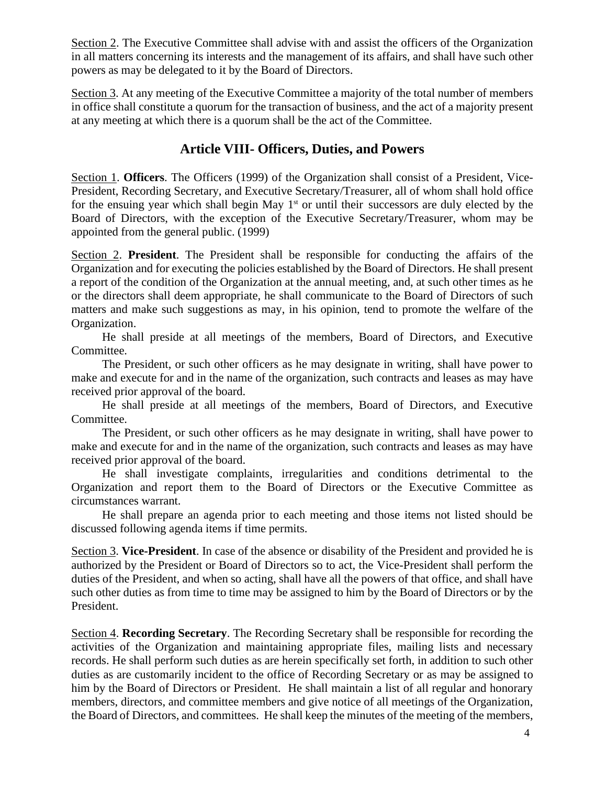Section 2. The Executive Committee shall advise with and assist the officers of the Organization in all matters concerning its interests and the management of its affairs, and shall have such other powers as may be delegated to it by the Board of Directors.

Section 3. At any meeting of the Executive Committee a majority of the total number of members in office shall constitute a quorum for the transaction of business, and the act of a majority present at any meeting at which there is a quorum shall be the act of the Committee.

### **Article VIII- Officers, Duties, and Powers**

Section 1. **Officers**. The Officers (1999) of the Organization shall consist of a President, Vice-President, Recording Secretary, and Executive Secretary/Treasurer, all of whom shall hold office for the ensuing year which shall begin May 1<sup>st</sup> or until their successors are duly elected by the Board of Directors, with the exception of the Executive Secretary/Treasurer, whom may be appointed from the general public. (1999)

Section 2. **President**. The President shall be responsible for conducting the affairs of the Organization and for executing the policies established by the Board of Directors. He shall present a report of the condition of the Organization at the annual meeting, and, at such other times as he or the directors shall deem appropriate, he shall communicate to the Board of Directors of such matters and make such suggestions as may, in his opinion, tend to promote the welfare of the Organization.

He shall preside at all meetings of the members, Board of Directors, and Executive Committee.

The President, or such other officers as he may designate in writing, shall have power to make and execute for and in the name of the organization, such contracts and leases as may have received prior approval of the board.

He shall preside at all meetings of the members, Board of Directors, and Executive Committee.

The President, or such other officers as he may designate in writing, shall have power to make and execute for and in the name of the organization, such contracts and leases as may have received prior approval of the board.

He shall investigate complaints, irregularities and conditions detrimental to the Organization and report them to the Board of Directors or the Executive Committee as circumstances warrant.

He shall prepare an agenda prior to each meeting and those items not listed should be discussed following agenda items if time permits.

Section 3. **Vice-President**. In case of the absence or disability of the President and provided he is authorized by the President or Board of Directors so to act, the Vice-President shall perform the duties of the President, and when so acting, shall have all the powers of that office, and shall have such other duties as from time to time may be assigned to him by the Board of Directors or by the President.

Section 4. **Recording Secretary**. The Recording Secretary shall be responsible for recording the activities of the Organization and maintaining appropriate files, mailing lists and necessary records. He shall perform such duties as are herein specifically set forth, in addition to such other duties as are customarily incident to the office of Recording Secretary or as may be assigned to him by the Board of Directors or President. He shall maintain a list of all regular and honorary members, directors, and committee members and give notice of all meetings of the Organization, the Board of Directors, and committees. He shall keep the minutes of the meeting of the members,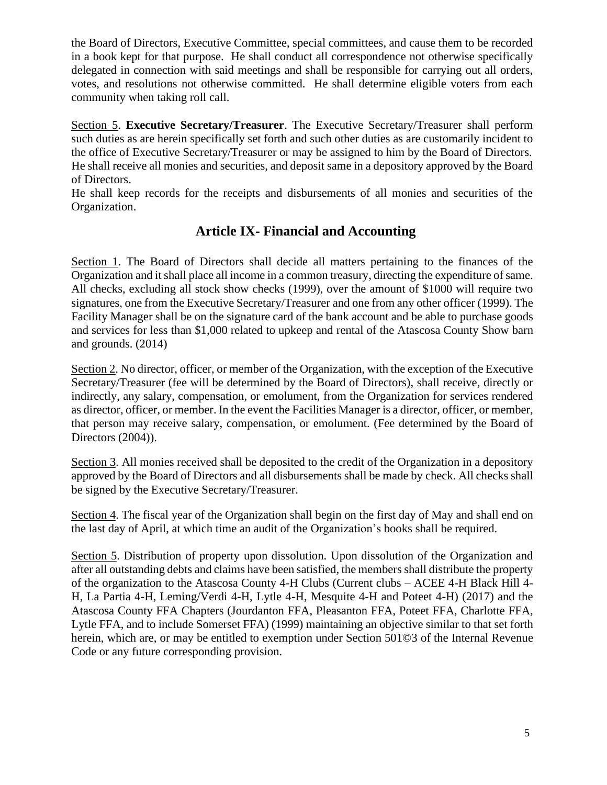the Board of Directors, Executive Committee, special committees, and cause them to be recorded in a book kept for that purpose. He shall conduct all correspondence not otherwise specifically delegated in connection with said meetings and shall be responsible for carrying out all orders, votes, and resolutions not otherwise committed. He shall determine eligible voters from each community when taking roll call.

Section 5. **Executive Secretary/Treasurer**. The Executive Secretary/Treasurer shall perform such duties as are herein specifically set forth and such other duties as are customarily incident to the office of Executive Secretary/Treasurer or may be assigned to him by the Board of Directors. He shall receive all monies and securities, and deposit same in a depository approved by the Board of Directors.

He shall keep records for the receipts and disbursements of all monies and securities of the Organization.

### **Article IX- Financial and Accounting**

Section 1. The Board of Directors shall decide all matters pertaining to the finances of the Organization and itshall place all income in a common treasury, directing the expenditure ofsame. All checks, excluding all stock show checks (1999), over the amount of \$1000 will require two signatures, one from the Executive Secretary/Treasurer and one from any other officer (1999). The Facility Manager shall be on the signature card of the bank account and be able to purchase goods and services for less than \$1,000 related to upkeep and rental of the Atascosa County Show barn and grounds. (2014)

Section 2. No director, officer, or member of the Organization, with the exception of the Executive Secretary/Treasurer (fee will be determined by the Board of Directors), shall receive, directly or indirectly, any salary, compensation, or emolument, from the Organization for services rendered as director, officer, or member. In the event the Facilities Manager is a director, officer, or member, that person may receive salary, compensation, or emolument. (Fee determined by the Board of Directors (2004)).

Section 3. All monies received shall be deposited to the credit of the Organization in a depository approved by the Board of Directors and all disbursements shall be made by check. All checks shall be signed by the Executive Secretary/Treasurer.

Section 4. The fiscal year of the Organization shall begin on the first day of May and shall end on the last day of April, at which time an audit of the Organization's books shall be required.

Section 5. Distribution of property upon dissolution. Upon dissolution of the Organization and after all outstanding debts and claims have been satisfied, the members shall distribute the property of the organization to the Atascosa County 4-H Clubs (Current clubs – ACEE 4-H Black Hill 4- H, La Partia 4-H, Leming/Verdi 4-H, Lytle 4-H, Mesquite 4-H and Poteet 4-H) (2017) and the Atascosa County FFA Chapters (Jourdanton FFA, Pleasanton FFA, Poteet FFA, Charlotte FFA, Lytle FFA, and to include Somerset FFA) (1999) maintaining an objective similar to that set forth herein, which are, or may be entitled to exemption under Section 501©3 of the Internal Revenue Code or any future corresponding provision.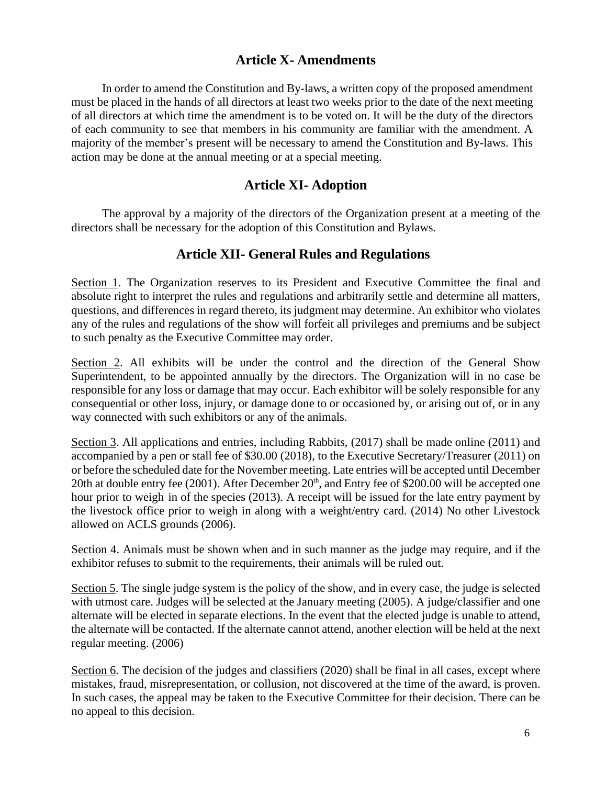### **Article X- Amendments**

In order to amend the Constitution and By-laws, a written copy of the proposed amendment must be placed in the hands of all directors at least two weeks prior to the date of the next meeting of all directors at which time the amendment is to be voted on. It will be the duty of the directors of each community to see that members in his community are familiar with the amendment. A majority of the member's present will be necessary to amend the Constitution and By-laws. This action may be done at the annual meeting or at a special meeting.

#### **Article XI- Adoption**

The approval by a majority of the directors of the Organization present at a meeting of the directors shall be necessary for the adoption of this Constitution and Bylaws.

#### **Article XII- General Rules and Regulations**

Section 1. The Organization reserves to its President and Executive Committee the final and absolute right to interpret the rules and regulations and arbitrarily settle and determine all matters, questions, and differences in regard thereto, its judgment may determine. An exhibitor who violates any of the rules and regulations of the show will forfeit all privileges and premiums and be subject to such penalty as the Executive Committee may order.

Section 2. All exhibits will be under the control and the direction of the General Show Superintendent, to be appointed annually by the directors. The Organization will in no case be responsible for any loss or damage that may occur. Each exhibitor will be solely responsible for any consequential or other loss, injury, or damage done to or occasioned by, or arising out of, or in any way connected with such exhibitors or any of the animals.

Section 3. All applications and entries, including Rabbits, (2017) shall be made online (2011) and accompanied by a pen or stall fee of \$30.00 (2018), to the Executive Secretary/Treasurer (2011) on or before the scheduled date for the November meeting. Late entries will be accepted until December 20th at double entry fee (2001). After December  $20<sup>th</sup>$ , and Entry fee of \$200.00 will be accepted one hour prior to weigh in of the species (2013). A receipt will be issued for the late entry payment by the livestock office prior to weigh in along with a weight/entry card. (2014) No other Livestock allowed on ACLS grounds (2006).

Section 4. Animals must be shown when and in such manner as the judge may require, and if the exhibitor refuses to submit to the requirements, their animals will be ruled out.

Section 5. The single judge system is the policy of the show, and in every case, the judge is selected with utmost care. Judges will be selected at the January meeting (2005). A judge/classifier and one alternate will be elected in separate elections. In the event that the elected judge is unable to attend, the alternate will be contacted. If the alternate cannot attend, another election will be held at the next regular meeting. (2006)

Section 6. The decision of the judges and classifiers (2020) shall be final in all cases, except where mistakes, fraud, misrepresentation, or collusion, not discovered at the time of the award, is proven. In such cases, the appeal may be taken to the Executive Committee for their decision. There can be no appeal to this decision.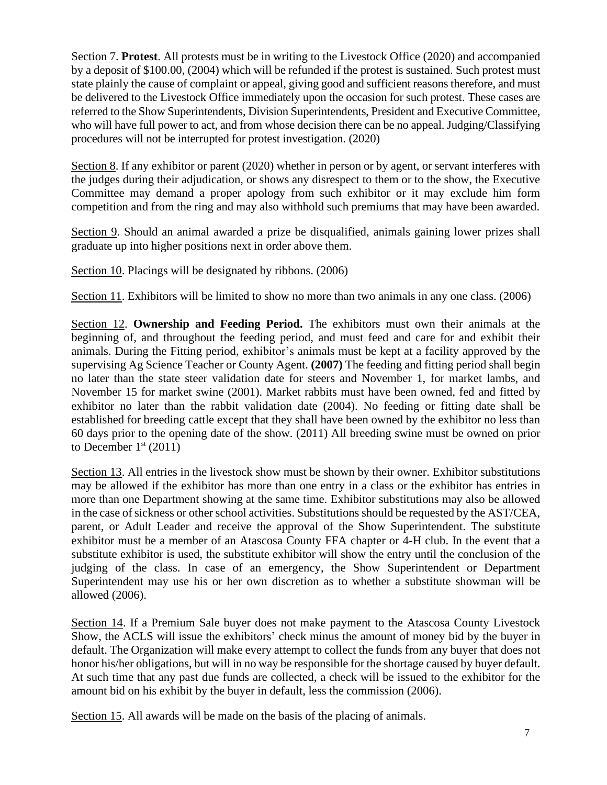Section 7. **Protest**. All protests must be in writing to the Livestock Office (2020) and accompanied by a deposit of \$100.00, (2004) which will be refunded if the protest is sustained. Such protest must state plainly the cause of complaint or appeal, giving good and sufficient reasons therefore, and must be delivered to the Livestock Office immediately upon the occasion for such protest. These cases are referred to the Show Superintendents, Division Superintendents, President and Executive Committee, who will have full power to act, and from whose decision there can be no appeal. Judging/Classifying procedures will not be interrupted for protest investigation. (2020)

Section 8. If any exhibitor or parent (2020) whether in person or by agent, or servant interferes with the judges during their adjudication, or shows any disrespect to them or to the show, the Executive Committee may demand a proper apology from such exhibitor or it may exclude him form competition and from the ring and may also withhold such premiums that may have been awarded.

Section 9. Should an animal awarded a prize be disqualified, animals gaining lower prizes shall graduate up into higher positions next in order above them.

Section 10. Placings will be designated by ribbons. (2006)

Section 11. Exhibitors will be limited to show no more than two animals in any one class. (2006)

Section 12. **Ownership and Feeding Period.** The exhibitors must own their animals at the beginning of, and throughout the feeding period, and must feed and care for and exhibit their animals. During the Fitting period, exhibitor's animals must be kept at a facility approved by the supervising Ag Science Teacher or County Agent. **(2007)** The feeding and fitting period shall begin no later than the state steer validation date for steers and November 1, for market lambs, and November 15 for market swine (2001). Market rabbits must have been owned, fed and fitted by exhibitor no later than the rabbit validation date (2004). No feeding or fitting date shall be established for breeding cattle except that they shall have been owned by the exhibitor no less than 60 days prior to the opening date of the show. (2011) All breeding swine must be owned on prior to December  $1<sup>st</sup>$  (2011)

Section 13. All entries in the livestock show must be shown by their owner. Exhibitor substitutions may be allowed if the exhibitor has more than one entry in a class or the exhibitor has entries in more than one Department showing at the same time. Exhibitor substitutions may also be allowed in the case of sickness or other school activities. Substitutions should be requested by the AST/CEA, parent, or Adult Leader and receive the approval of the Show Superintendent. The substitute exhibitor must be a member of an Atascosa County FFA chapter or 4-H club. In the event that a substitute exhibitor is used, the substitute exhibitor will show the entry until the conclusion of the judging of the class. In case of an emergency, the Show Superintendent or Department Superintendent may use his or her own discretion as to whether a substitute showman will be allowed (2006).

Section 14. If a Premium Sale buyer does not make payment to the Atascosa County Livestock Show, the ACLS will issue the exhibitors' check minus the amount of money bid by the buyer in default. The Organization will make every attempt to collect the funds from any buyer that does not honor his/her obligations, but will in no way be responsible for the shortage caused by buyer default. At such time that any past due funds are collected, a check will be issued to the exhibitor for the amount bid on his exhibit by the buyer in default, less the commission (2006).

Section 15. All awards will be made on the basis of the placing of animals.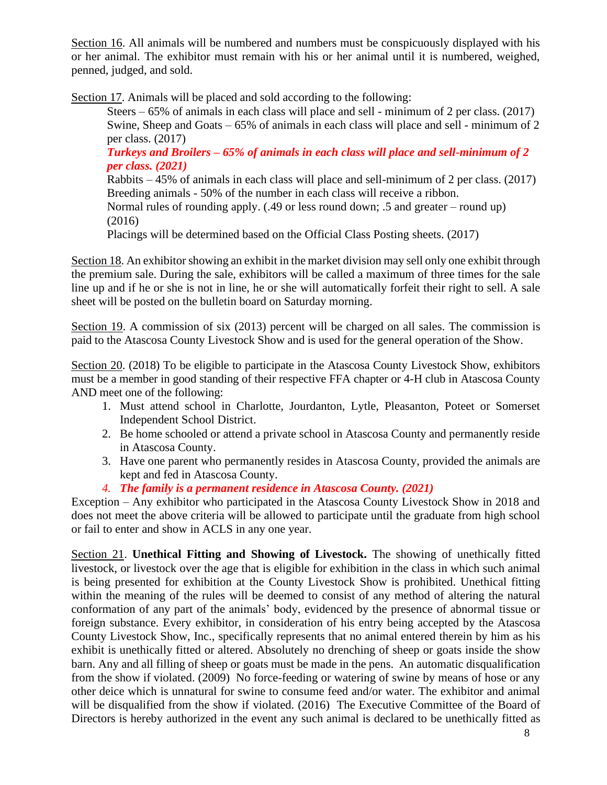Section 16. All animals will be numbered and numbers must be conspicuously displayed with his or her animal. The exhibitor must remain with his or her animal until it is numbered, weighed, penned, judged, and sold.

Section 17. Animals will be placed and sold according to the following:

Steers – 65% of animals in each class will place and sell - minimum of 2 per class. (2017) Swine, Sheep and Goats – 65% of animals in each class will place and sell - minimum of 2 per class. (2017)

*Turkeys and Broilers – 65% of animals in each class will place and sell-minimum of 2 per class. (2021)*

Rabbits – 45% of animals in each class will place and sell-minimum of 2 per class. (2017) Breeding animals - 50% of the number in each class will receive a ribbon.

Normal rules of rounding apply. (.49 or less round down; .5 and greater – round up) (2016)

Placings will be determined based on the Official Class Posting sheets. (2017)

Section 18. An exhibitor showing an exhibit in the market division may sell only one exhibit through the premium sale. During the sale, exhibitors will be called a maximum of three times for the sale line up and if he or she is not in line, he or she will automatically forfeit their right to sell. A sale sheet will be posted on the bulletin board on Saturday morning.

Section 19. A commission of six (2013) percent will be charged on all sales. The commission is paid to the Atascosa County Livestock Show and is used for the general operation of the Show.

Section 20. (2018) To be eligible to participate in the Atascosa County Livestock Show, exhibitors must be a member in good standing of their respective FFA chapter or 4-H club in Atascosa County AND meet one of the following:

- 1. Must attend school in Charlotte, Jourdanton, Lytle, Pleasanton, Poteet or Somerset Independent School District.
- 2. Be home schooled or attend a private school in Atascosa County and permanently reside in Atascosa County.
- 3. Have one parent who permanently resides in Atascosa County, provided the animals are kept and fed in Atascosa County.
- *4. The family is a permanent residence in Atascosa County. (2021)*

Exception – Any exhibitor who participated in the Atascosa County Livestock Show in 2018 and does not meet the above criteria will be allowed to participate until the graduate from high school or fail to enter and show in ACLS in any one year.

Section 21. **Unethical Fitting and Showing of Livestock.** The showing of unethically fitted livestock, or livestock over the age that is eligible for exhibition in the class in which such animal is being presented for exhibition at the County Livestock Show is prohibited. Unethical fitting within the meaning of the rules will be deemed to consist of any method of altering the natural conformation of any part of the animals' body, evidenced by the presence of abnormal tissue or foreign substance. Every exhibitor, in consideration of his entry being accepted by the Atascosa County Livestock Show, Inc., specifically represents that no animal entered therein by him as his exhibit is unethically fitted or altered. Absolutely no drenching of sheep or goats inside the show barn. Any and all filling of sheep or goats must be made in the pens. An automatic disqualification from the show if violated. (2009) No force-feeding or watering of swine by means of hose or any other deice which is unnatural for swine to consume feed and/or water. The exhibitor and animal will be disqualified from the show if violated. (2016) The Executive Committee of the Board of Directors is hereby authorized in the event any such animal is declared to be unethically fitted as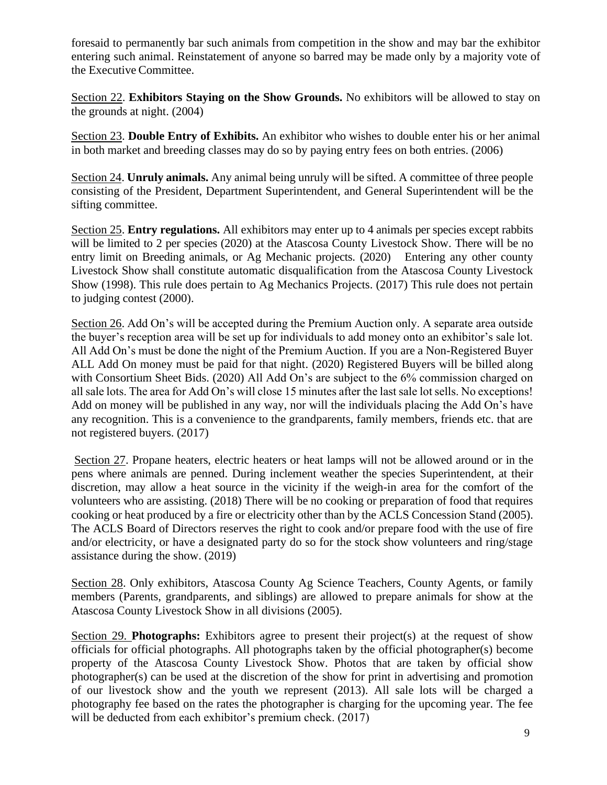foresaid to permanently bar such animals from competition in the show and may bar the exhibitor entering such animal. Reinstatement of anyone so barred may be made only by a majority vote of the Executive Committee.

Section 22. **Exhibitors Staying on the Show Grounds.** No exhibitors will be allowed to stay on the grounds at night. (2004)

Section 23. **Double Entry of Exhibits.** An exhibitor who wishes to double enter his or her animal in both market and breeding classes may do so by paying entry fees on both entries. (2006)

Section 24. **Unruly animals.** Any animal being unruly will be sifted. A committee of three people consisting of the President, Department Superintendent, and General Superintendent will be the sifting committee.

Section 25. **Entry regulations.** All exhibitors may enter up to 4 animals per species except rabbits will be limited to 2 per species (2020) at the Atascosa County Livestock Show. There will be no entry limit on Breeding animals, or Ag Mechanic projects. (2020) Entering any other county Livestock Show shall constitute automatic disqualification from the Atascosa County Livestock Show (1998). This rule does pertain to Ag Mechanics Projects. (2017) This rule does not pertain to judging contest (2000).

Section 26. Add On's will be accepted during the Premium Auction only. A separate area outside the buyer's reception area will be set up for individuals to add money onto an exhibitor's sale lot. All Add On's must be done the night of the Premium Auction. If you are a Non-Registered Buyer ALL Add On money must be paid for that night. (2020) Registered Buyers will be billed along with Consortium Sheet Bids. (2020) All Add On's are subject to the 6% commission charged on all sale lots. The area for Add On's will close 15 minutes after the last sale lot sells. No exceptions! Add on money will be published in any way, nor will the individuals placing the Add On's have any recognition. This is a convenience to the grandparents, family members, friends etc. that are not registered buyers. (2017)

Section 27. Propane heaters, electric heaters or heat lamps will not be allowed around or in the pens where animals are penned. During inclement weather the species Superintendent, at their discretion, may allow a heat source in the vicinity if the weigh-in area for the comfort of the volunteers who are assisting. (2018) There will be no cooking or preparation of food that requires cooking or heat produced by a fire or electricity other than by the ACLS Concession Stand (2005). The ACLS Board of Directors reserves the right to cook and/or prepare food with the use of fire and/or electricity, or have a designated party do so for the stock show volunteers and ring/stage assistance during the show. (2019)

Section 28. Only exhibitors, Atascosa County Ag Science Teachers, County Agents, or family members (Parents, grandparents, and siblings) are allowed to prepare animals for show at the Atascosa County Livestock Show in all divisions (2005).

Section 29. **Photographs:** Exhibitors agree to present their project(s) at the request of show officials for official photographs. All photographs taken by the official photographer(s) become property of the Atascosa County Livestock Show. Photos that are taken by official show photographer(s) can be used at the discretion of the show for print in advertising and promotion of our livestock show and the youth we represent (2013). All sale lots will be charged a photography fee based on the rates the photographer is charging for the upcoming year. The fee will be deducted from each exhibitor's premium check. (2017)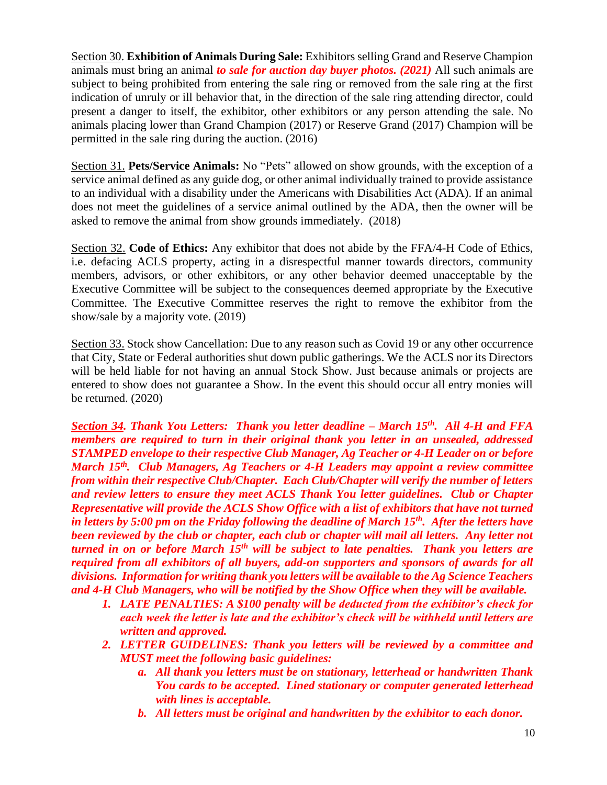Section 30. **Exhibition of Animals During Sale:** Exhibitors selling Grand and Reserve Champion animals must bring an animal *to sale for auction day buyer photos. (2021)* All such animals are subject to being prohibited from entering the sale ring or removed from the sale ring at the first indication of unruly or ill behavior that, in the direction of the sale ring attending director, could present a danger to itself, the exhibitor, other exhibitors or any person attending the sale. No animals placing lower than Grand Champion (2017) or Reserve Grand (2017) Champion will be permitted in the sale ring during the auction. (2016)

Section 31. **Pets/Service Animals:** No "Pets" allowed on show grounds, with the exception of a service animal defined as any guide dog, or other animal individually trained to provide assistance to an individual with a disability under the Americans with Disabilities Act (ADA). If an animal does not meet the guidelines of a service animal outlined by the ADA, then the owner will be asked to remove the animal from show grounds immediately. (2018)

Section 32. **Code of Ethics:** Any exhibitor that does not abide by the FFA/4-H Code of Ethics, i.e. defacing ACLS property, acting in a disrespectful manner towards directors, community members, advisors, or other exhibitors, or any other behavior deemed unacceptable by the Executive Committee will be subject to the consequences deemed appropriate by the Executive Committee. The Executive Committee reserves the right to remove the exhibitor from the show/sale by a majority vote. (2019)

Section 33. Stock show Cancellation: Due to any reason such as Covid 19 or any other occurrence that City, State or Federal authorities shut down public gatherings. We the ACLS nor its Directors will be held liable for not having an annual Stock Show. Just because animals or projects are entered to show does not guarantee a Show. In the event this should occur all entry monies will be returned. (2020)

*Section 34. Thank You Letters: Thank you letter deadline – March 15th. All 4-H and FFA members are required to turn in their original thank you letter in an unsealed, addressed STAMPED envelope to their respective Club Manager, Ag Teacher or 4-H Leader on or before March 15th. Club Managers, Ag Teachers or 4-H Leaders may appoint a review committee from within their respective Club/Chapter. Each Club/Chapter will verify the number of letters and review letters to ensure they meet ACLS Thank You letter guidelines. Club or Chapter Representative will provide the ACLS Show Office with a list of exhibitors that have not turned in letters by 5:00 pm on the Friday following the deadline of March 15th. After the letters have been reviewed by the club or chapter, each club or chapter will mail all letters. Any letter not turned in on or before March 15th will be subject to late penalties. Thank you letters are required from all exhibitors of all buyers, add-on supporters and sponsors of awards for all divisions. Information for writing thank you letters will be available to the Ag Science Teachers and 4-H Club Managers, who will be notified by the Show Office when they will be available.*

- *1. LATE PENALTIES: A \$100 penalty will be deducted from the exhibitor's check for each week the letter is late and the exhibitor's check will be withheld until letters are written and approved.*
- *2. LETTER GUIDELINES: Thank you letters will be reviewed by a committee and MUST meet the following basic guidelines:*
	- *a. All thank you letters must be on stationary, letterhead or handwritten Thank You cards to be accepted. Lined stationary or computer generated letterhead with lines is acceptable.*
	- *b. All letters must be original and handwritten by the exhibitor to each donor.*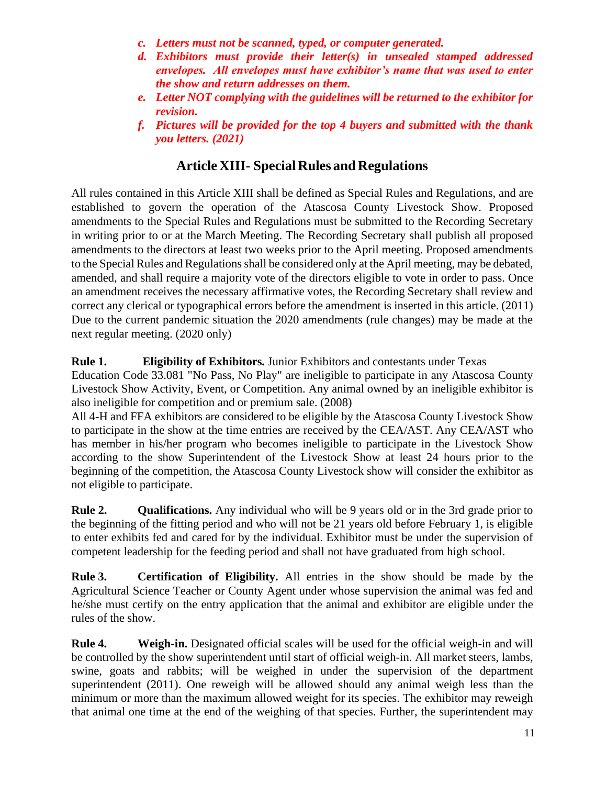- *c. Letters must not be scanned, typed, or computer generated.*
- *d. Exhibitors must provide their letter(s) in unsealed stamped addressed envelopes. All envelopes must have exhibitor's name that was used to enter the show and return addresses on them.*
- *e. Letter NOT complying with the guidelines will be returned to the exhibitor for revision.*
- *f. Pictures will be provided for the top 4 buyers and submitted with the thank you letters. (2021)*

### **Article XIII- Special Rules and Regulations**

All rules contained in this Article XIII shall be defined as Special Rules and Regulations, and are established to govern the operation of the Atascosa County Livestock Show. Proposed amendments to the Special Rules and Regulations must be submitted to the Recording Secretary in writing prior to or at the March Meeting. The Recording Secretary shall publish all proposed amendments to the directors at least two weeks prior to the April meeting. Proposed amendments to the Special Rules and Regulations shall be considered only at the April meeting, may be debated, amended, and shall require a majority vote of the directors eligible to vote in order to pass. Once an amendment receives the necessary affirmative votes, the Recording Secretary shall review and correct any clerical or typographical errors before the amendment is inserted in this article. (2011) Due to the current pandemic situation the 2020 amendments (rule changes) may be made at the next regular meeting. (2020 only)

#### **Rule 1. Eligibility of Exhibitors.** Junior Exhibitors and contestants under Texas

Education Code 33.081 "No Pass, No Play" are ineligible to participate in any Atascosa County Livestock Show Activity, Event, or Competition. Any animal owned by an ineligible exhibitor is also ineligible for competition and or premium sale. (2008)

All 4-H and FFA exhibitors are considered to be eligible by the Atascosa County Livestock Show to participate in the show at the time entries are received by the CEA/AST. Any CEA/AST who has member in his/her program who becomes ineligible to participate in the Livestock Show according to the show Superintendent of the Livestock Show at least 24 hours prior to the beginning of the competition, the Atascosa County Livestock show will consider the exhibitor as not eligible to participate.

**Rule 2. Qualifications.** Any individual who will be 9 years old or in the 3rd grade prior to the beginning of the fitting period and who will not be 21 years old before February 1, is eligible to enter exhibits fed and cared for by the individual. Exhibitor must be under the supervision of competent leadership for the feeding period and shall not have graduated from high school.

**Rule 3. Certification of Eligibility.** All entries in the show should be made by the Agricultural Science Teacher or County Agent under whose supervision the animal was fed and he/she must certify on the entry application that the animal and exhibitor are eligible under the rules of the show.

**Rule 4. Weigh-in.** Designated official scales will be used for the official weigh-in and will be controlled by the show superintendent until start of official weigh-in. All market steers, lambs, swine, goats and rabbits; will be weighed in under the supervision of the department superintendent (2011). One reweigh will be allowed should any animal weigh less than the minimum or more than the maximum allowed weight for its species. The exhibitor may reweigh that animal one time at the end of the weighing of that species. Further, the superintendent may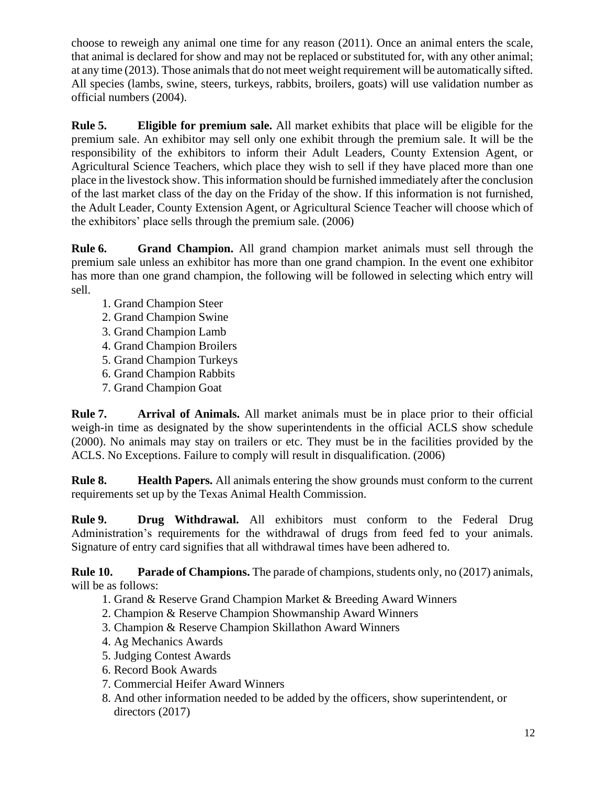choose to reweigh any animal one time for any reason (2011). Once an animal enters the scale, that animal is declared for show and may not be replaced or substituted for, with any other animal; at any time (2013). Those animals that do not meet weight requirement will be automatically sifted. All species (lambs, swine, steers, turkeys, rabbits, broilers, goats) will use validation number as official numbers (2004).

**Rule 5. Eligible for premium sale.** All market exhibits that place will be eligible for the premium sale. An exhibitor may sell only one exhibit through the premium sale. It will be the responsibility of the exhibitors to inform their Adult Leaders, County Extension Agent, or Agricultural Science Teachers, which place they wish to sell if they have placed more than one place in the livestock show. Thisinformation should be furnished immediately after the conclusion of the last market class of the day on the Friday of the show. If this information is not furnished, the Adult Leader, County Extension Agent, or Agricultural Science Teacher will choose which of the exhibitors' place sells through the premium sale. (2006)

**Rule 6. Grand Champion.** All grand champion market animals must sell through the premium sale unless an exhibitor has more than one grand champion. In the event one exhibitor has more than one grand champion, the following will be followed in selecting which entry will sell.

- 1. Grand Champion Steer
- 2. Grand Champion Swine
- 3. Grand Champion Lamb
- 4. Grand Champion Broilers
- 5. Grand Champion Turkeys
- 6. Grand Champion Rabbits
- 7. Grand Champion Goat

**Rule 7. Arrival of Animals.** All market animals must be in place prior to their official weigh-in time as designated by the show superintendents in the official ACLS show schedule (2000). No animals may stay on trailers or etc. They must be in the facilities provided by the ACLS. No Exceptions. Failure to comply will result in disqualification. (2006)

**Rule 8. Health Papers.** All animals entering the show grounds must conform to the current requirements set up by the Texas Animal Health Commission.

**Rule 9. Drug Withdrawal.** All exhibitors must conform to the Federal Drug Administration's requirements for the withdrawal of drugs from feed fed to your animals. Signature of entry card signifies that all withdrawal times have been adhered to.

**Rule 10. Parade of Champions.** The parade of champions, students only, no (2017) animals, will be as follows:

- 1. Grand & Reserve Grand Champion Market & Breeding Award Winners
- 2. Champion & Reserve Champion Showmanship Award Winners
- 3. Champion & Reserve Champion Skillathon Award Winners
- 4. Ag Mechanics Awards
- 5. Judging Contest Awards
- 6. Record Book Awards
- 7. Commercial Heifer Award Winners
- 8. And other information needed to be added by the officers, show superintendent, or directors (2017)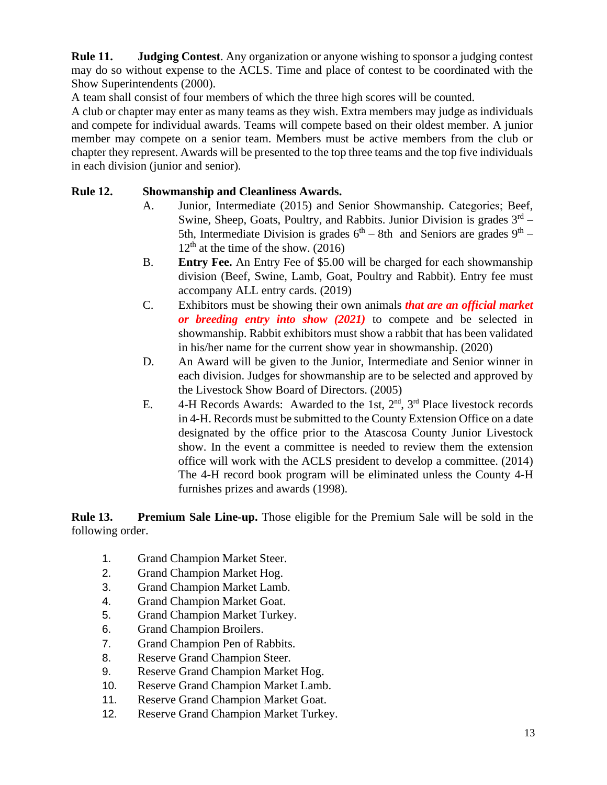**Rule 11. Judging Contest**. Any organization or anyone wishing to sponsor a judging contest may do so without expense to the ACLS. Time and place of contest to be coordinated with the Show Superintendents (2000).

A team shall consist of four members of which the three high scores will be counted.

A club or chapter may enter as many teams as they wish. Extra members may judge as individuals and compete for individual awards. Teams will compete based on their oldest member. A junior member may compete on a senior team. Members must be active members from the club or chapter they represent. Awards will be presented to the top three teams and the top five individuals in each division (junior and senior).

#### **Rule 12. Showmanship and Cleanliness Awards.**

- A. Junior, Intermediate (2015) and Senior Showmanship. Categories; Beef, Swine, Sheep, Goats, Poultry, and Rabbits. Junior Division is grades  $3<sup>rd</sup>$  – 5th, Intermediate Division is grades  $6<sup>th</sup> - 8th$  and Seniors are grades  $9<sup>th</sup> 12<sup>th</sup>$  at the time of the show. (2016)
- B. **Entry Fee.** An Entry Fee of \$5.00 will be charged for each showmanship division (Beef, Swine, Lamb, Goat, Poultry and Rabbit). Entry fee must accompany ALL entry cards. (2019)
- C. Exhibitors must be showing their own animals *that are an official market or breeding entry into show (2021)* to compete and be selected in showmanship. Rabbit exhibitors must show a rabbit that has been validated in his/her name for the current show year in showmanship. (2020)
- D. An Award will be given to the Junior, Intermediate and Senior winner in each division. Judges for showmanship are to be selected and approved by the Livestock Show Board of Directors. (2005)
- E.  $4-H$  Records Awards: Awarded to the 1st,  $2<sup>nd</sup>$ ,  $3<sup>rd</sup>$  Place livestock records in 4-H. Records must be submitted to the County Extension Office on a date designated by the office prior to the Atascosa County Junior Livestock show. In the event a committee is needed to review them the extension office will work with the ACLS president to develop a committee. (2014) The 4-H record book program will be eliminated unless the County 4-H furnishes prizes and awards (1998).

**Rule 13. Premium Sale Line-up.** Those eligible for the Premium Sale will be sold in the following order.

- 1. Grand Champion Market Steer.
- 2. Grand Champion Market Hog.
- 3. Grand Champion Market Lamb.
- 4. Grand Champion Market Goat.
- 5. Grand Champion Market Turkey.
- 6. Grand Champion Broilers.
- 7. Grand Champion Pen of Rabbits.
- 8. Reserve Grand Champion Steer.
- 9. Reserve Grand Champion Market Hog.
- 10. Reserve Grand Champion Market Lamb.
- 11. Reserve Grand Champion Market Goat.
- 12. Reserve Grand Champion Market Turkey.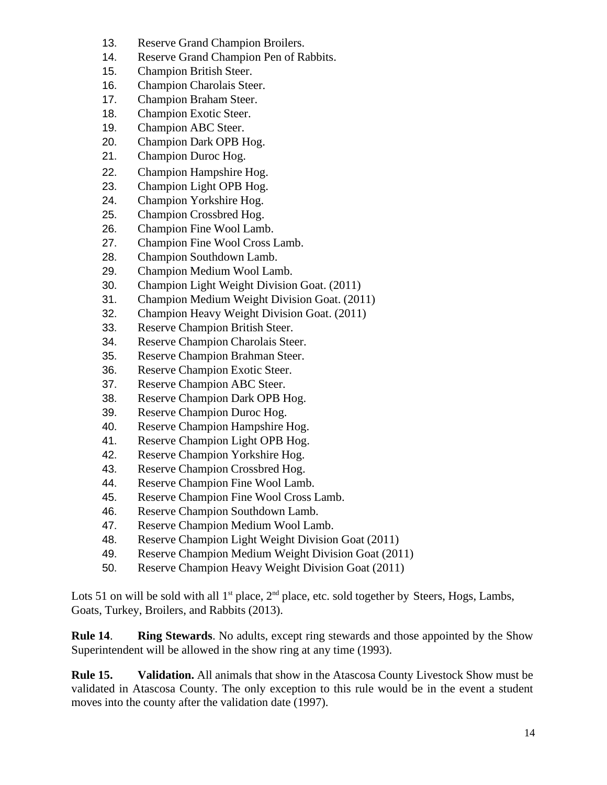- 13. Reserve Grand Champion Broilers.
- 14. Reserve Grand Champion Pen of Rabbits.
- 15. Champion British Steer.
- 16. Champion Charolais Steer.
- 17. Champion Braham Steer.
- 18. Champion Exotic Steer.
- 19. Champion ABC Steer.
- 20. Champion Dark OPB Hog.
- 21. Champion Duroc Hog.
- 22. Champion Hampshire Hog.
- 23. Champion Light OPB Hog.
- 24. Champion Yorkshire Hog.
- 25. Champion Crossbred Hog.
- 26. Champion Fine Wool Lamb.
- 27. Champion Fine Wool Cross Lamb.
- 28. Champion Southdown Lamb.
- 29. Champion Medium Wool Lamb.
- 30. Champion Light Weight Division Goat. (2011)
- 31. Champion Medium Weight Division Goat. (2011)
- 32. Champion Heavy Weight Division Goat. (2011)
- 33. Reserve Champion British Steer.
- 34. Reserve Champion Charolais Steer.
- 35. Reserve Champion Brahman Steer.
- 36. Reserve Champion Exotic Steer.
- 37. Reserve Champion ABC Steer.
- 38. Reserve Champion Dark OPB Hog.
- 39. Reserve Champion Duroc Hog.
- 40. Reserve Champion Hampshire Hog.
- 41. Reserve Champion Light OPB Hog.
- 42. Reserve Champion Yorkshire Hog.
- 43. Reserve Champion Crossbred Hog.
- 44. Reserve Champion Fine Wool Lamb.
- 45. Reserve Champion Fine Wool Cross Lamb.
- 46. Reserve Champion Southdown Lamb.
- 47. Reserve Champion Medium Wool Lamb.
- 48. Reserve Champion Light Weight Division Goat (2011)
- 49. Reserve Champion Medium Weight Division Goat (2011)
- 50. Reserve Champion Heavy Weight Division Goat (2011)

Lots 51 on will be sold with all  $1<sup>st</sup>$  place,  $2<sup>nd</sup>$  place, etc. sold together by Steers, Hogs, Lambs, Goats, Turkey, Broilers, and Rabbits (2013).

**Rule 14**. **Ring Stewards**. No adults, except ring stewards and those appointed by the Show Superintendent will be allowed in the show ring at any time (1993).

**Rule 15. Validation.** All animals that show in the Atascosa County Livestock Show must be validated in Atascosa County. The only exception to this rule would be in the event a student moves into the county after the validation date (1997).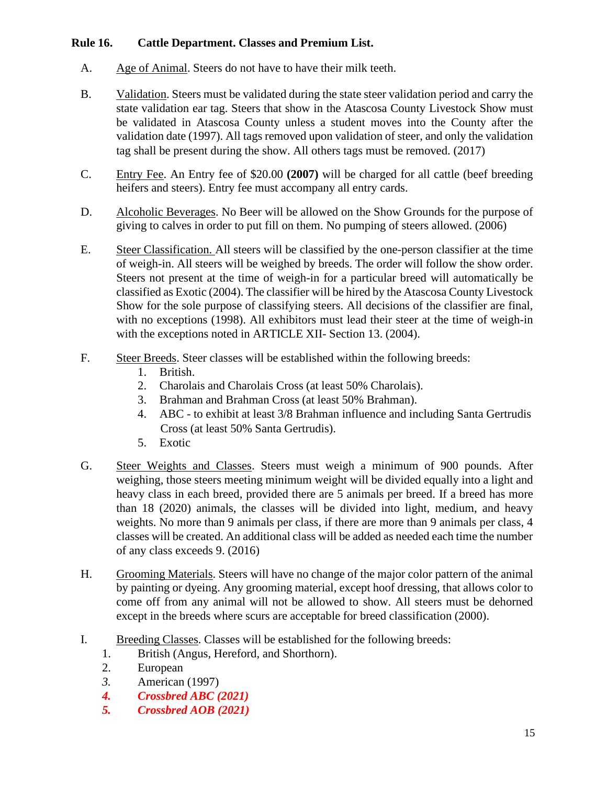#### **Rule 16. Cattle Department. Classes and Premium List.**

- A. Age of Animal. Steers do not have to have their milk teeth.
- B. Validation. Steers must be validated during the state steer validation period and carry the state validation ear tag. Steers that show in the Atascosa County Livestock Show must be validated in Atascosa County unless a student moves into the County after the validation date (1997). All tags removed upon validation of steer, and only the validation tag shall be present during the show. All others tags must be removed. (2017)
- C. Entry Fee. An Entry fee of \$20.00 **(2007)** will be charged for all cattle (beef breeding heifers and steers). Entry fee must accompany all entry cards.
- D. Alcoholic Beverages. No Beer will be allowed on the Show Grounds for the purpose of giving to calves in order to put fill on them. No pumping of steers allowed. (2006)
- E. Steer Classification. All steers will be classified by the one-person classifier at the time of weigh-in. All steers will be weighed by breeds. The order will follow the show order. Steers not present at the time of weigh-in for a particular breed will automatically be classified as Exotic (2004). The classifier will be hired by the Atascosa County Livestock Show for the sole purpose of classifying steers. All decisions of the classifier are final, with no exceptions (1998). All exhibitors must lead their steer at the time of weigh-in with the exceptions noted in ARTICLE XII- Section 13. (2004).
- F. Steer Breeds. Steer classes will be established within the following breeds:
	- 1. British.
	- 2. Charolais and Charolais Cross (at least 50% Charolais).
	- 3. Brahman and Brahman Cross (at least 50% Brahman).
	- 4. ABC to exhibit at least 3/8 Brahman influence and including Santa Gertrudis Cross (at least 50% Santa Gertrudis).
	- 5. Exotic
- G. Steer Weights and Classes. Steers must weigh a minimum of 900 pounds. After weighing, those steers meeting minimum weight will be divided equally into a light and heavy class in each breed, provided there are 5 animals per breed. If a breed has more than 18 (2020) animals, the classes will be divided into light, medium, and heavy weights. No more than 9 animals per class, if there are more than 9 animals per class, 4 classes will be created. An additional class will be added as needed each time the number of any class exceeds 9. (2016)
- H. Grooming Materials. Steers will have no change of the major color pattern of the animal by painting or dyeing. Any grooming material, except hoof dressing, that allows color to come off from any animal will not be allowed to show. All steers must be dehorned except in the breeds where scurs are acceptable for breed classification (2000).
- I. Breeding Classes. Classes will be established for the following breeds:
	- 1. British (Angus, Hereford, and Shorthorn).
	- 2. European
	- *3.* American (1997)
	- *4. Crossbred ABC (2021)*
	- *5. Crossbred AOB (2021)*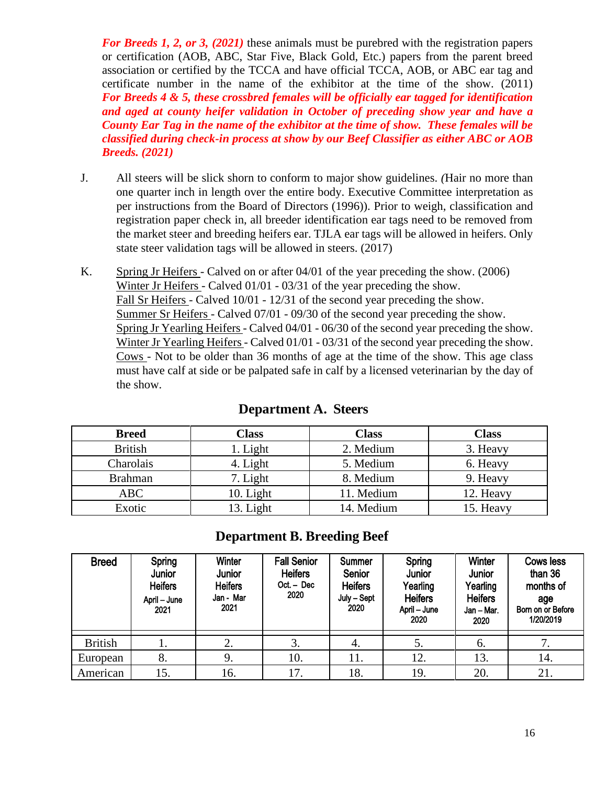*For Breeds 1, 2, or 3, (2021)* these animals must be purebred with the registration papers or certification (AOB, ABC, Star Five, Black Gold, Etc.) papers from the parent breed association or certified by the TCCA and have official TCCA, AOB, or ABC ear tag and certificate number in the name of the exhibitor at the time of the show. (2011) *For Breeds 4 & 5, these crossbred females will be officially ear tagged for identification and aged at county heifer validation in October of preceding show year and have a County Ear Tag in the name of the exhibitor at the time of show. These females will be classified during check-in process at show by our Beef Classifier as either ABC or AOB Breeds. (2021)* 

- J. All steers will be slick shorn to conform to major show guidelines. *(*Hair no more than one quarter inch in length over the entire body. Executive Committee interpretation as per instructions from the Board of Directors (1996)). Prior to weigh, classification and registration paper check in, all breeder identification ear tags need to be removed from the market steer and breeding heifers ear. TJLA ear tags will be allowed in heifers. Only state steer validation tags will be allowed in steers. (2017)
- K. Spring Jr Heifers Calved on or after 04/01 of the year preceding the show. (2006) Winter Jr Heifers - Calved 01/01 - 03/31 of the year preceding the show. Fall Sr Heifers - Calved 10/01 - 12/31 of the second year preceding the show. Summer Sr Heifers - Calved 07/01 - 09/30 of the second year preceding the show. Spring Jr Yearling Heifers - Calved 04/01 - 06/30 of the second year preceding the show. Winter Jr Yearling Heifers - Calved 01/01 - 03/31 of the second year preceding the show. Cows - Not to be older than 36 months of age at the time of the show. This age class must have calf at side or be palpated safe in calf by a licensed veterinarian by the day of the show.

| <b>Breed</b>   | <b>Class</b> | <b>Class</b> | <b>Class</b> |
|----------------|--------------|--------------|--------------|
| <b>British</b> | . Light      | 2. Medium    | 3. Heavy     |
| Charolais      | 4. Light     | 5. Medium    | 6. Heavy     |
| <b>Brahman</b> | 7. Light     | 8. Medium    | 9. Heavy     |
| ABC            | 10. Light    | 11. Medium   | 12. Heavy    |
| Exotic         | Light        | 14. Medium   | 15. Heavy    |

#### **Department A. Steers**

#### **Department B. Breeding Beef**

| <b>Breed</b>   | <b>Spring</b><br>Junior<br><b>Heifers</b><br>April - June<br>2021 | <b>Winter</b><br><b>Junior</b><br><b>Heifers</b><br>Jan - Mar<br>2021 | <b>Fall Senior</b><br><b>Heifers</b><br>Oct. – Dec<br>2020 | <b>Summer</b><br>Senior<br><b>Heifers</b><br>July - Sept<br>2020 | Spring<br><b>Junior</b><br>Yearling<br><b>Heifers</b><br>April - June<br>2020 | <b>Winter</b><br>Junior<br>Yearling<br><b>Heifers</b><br>Jan – Mar.<br>2020 | <b>Cows less</b><br>than 36<br>months of<br>age<br>Born on or Before<br>1/20/2019 |
|----------------|-------------------------------------------------------------------|-----------------------------------------------------------------------|------------------------------------------------------------|------------------------------------------------------------------|-------------------------------------------------------------------------------|-----------------------------------------------------------------------------|-----------------------------------------------------------------------------------|
| <b>British</b> |                                                                   | 2.                                                                    | 3.                                                         | 4.                                                               | 5.                                                                            | 6.                                                                          |                                                                                   |
| European       | 8.                                                                | 9.                                                                    | 10.                                                        | 11.                                                              | 12.                                                                           | 13.                                                                         | 14.                                                                               |
| American       | 15.                                                               | 16.                                                                   | 17.                                                        | 18.                                                              | 19.                                                                           | 20.                                                                         | 21.                                                                               |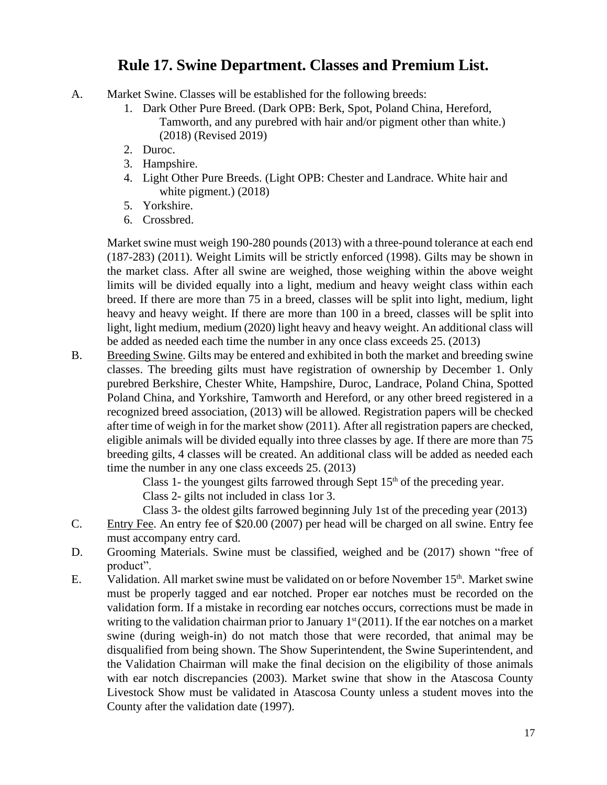### **Rule 17. Swine Department. Classes and Premium List.**

- A. Market Swine. Classes will be established for the following breeds:
	- 1. Dark Other Pure Breed. (Dark OPB: Berk, Spot, Poland China, Hereford, Tamworth, and any purebred with hair and/or pigment other than white.) (2018) (Revised 2019)
	- 2. Duroc.
	- 3. Hampshire.
	- 4. Light Other Pure Breeds. (Light OPB: Chester and Landrace. White hair and white pigment.) (2018)
	- 5. Yorkshire.
	- 6. Crossbred.

Market swine must weigh 190-280 pounds (2013) with a three-pound tolerance at each end (187-283) (2011). Weight Limits will be strictly enforced (1998). Gilts may be shown in the market class. After all swine are weighed, those weighing within the above weight limits will be divided equally into a light, medium and heavy weight class within each breed. If there are more than 75 in a breed, classes will be split into light, medium, light heavy and heavy weight. If there are more than 100 in a breed, classes will be split into light, light medium, medium (2020) light heavy and heavy weight. An additional class will be added as needed each time the number in any once class exceeds 25. (2013)

B. Breeding Swine. Gilts may be entered and exhibited in both the market and breeding swine classes. The breeding gilts must have registration of ownership by December 1. Only purebred Berkshire, Chester White, Hampshire, Duroc, Landrace, Poland China, Spotted Poland China, and Yorkshire, Tamworth and Hereford, or any other breed registered in a recognized breed association, (2013) will be allowed. Registration papers will be checked after time of weigh in for the market show (2011). After all registration papers are checked, eligible animals will be divided equally into three classes by age. If there are more than 75 breeding gilts, 4 classes will be created. An additional class will be added as needed each time the number in any one class exceeds 25. (2013)

Class 1- the youngest gilts farrowed through Sept  $15<sup>th</sup>$  of the preceding year.

Class 2- gilts not included in class 1or 3.

Class 3- the oldest gilts farrowed beginning July 1st of the preceding year (2013)

- C. Entry Fee. An entry fee of \$20.00 (2007) per head will be charged on all swine. Entry fee must accompany entry card.
- D. Grooming Materials. Swine must be classified, weighed and be (2017) shown "free of product".
- E. Validation. All market swine must be validated on or before November 15<sup>th</sup>. Market swine must be properly tagged and ear notched. Proper ear notches must be recorded on the validation form. If a mistake in recording ear notches occurs, corrections must be made in writing to the validation chairman prior to January  $1<sup>st</sup>(2011)$ . If the ear notches on a market swine (during weigh-in) do not match those that were recorded, that animal may be disqualified from being shown. The Show Superintendent, the Swine Superintendent, and the Validation Chairman will make the final decision on the eligibility of those animals with ear notch discrepancies (2003). Market swine that show in the Atascosa County Livestock Show must be validated in Atascosa County unless a student moves into the County after the validation date (1997).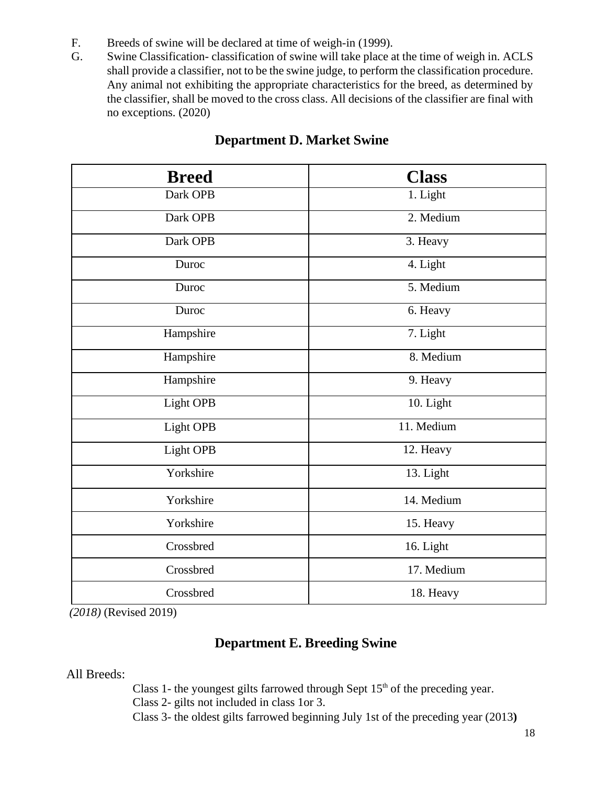- F. Breeds of swine will be declared at time of weigh-in (1999).
- G. Swine Classification- classification of swine will take place at the time of weigh in. ACLS shall provide a classifier, not to be the swine judge, to perform the classification procedure. Any animal not exhibiting the appropriate characteristics for the breed, as determined by the classifier, shall be moved to the cross class. All decisions of the classifier are final with no exceptions. (2020)

| <b>Breed</b> | <b>Class</b> |
|--------------|--------------|
| Dark OPB     | 1. Light     |
| Dark OPB     | 2. Medium    |
| Dark OPB     | 3. Heavy     |
| Duroc        | 4. Light     |
| Duroc        | 5. Medium    |
| Duroc        | 6. Heavy     |
| Hampshire    | 7. Light     |
| Hampshire    | 8. Medium    |
| Hampshire    | 9. Heavy     |
| Light OPB    | 10. Light    |
| Light OPB    | 11. Medium   |
| Light OPB    | 12. Heavy    |
| Yorkshire    | 13. Light    |
| Yorkshire    | 14. Medium   |
| Yorkshire    | 15. Heavy    |
| Crossbred    | 16. Light    |
| Crossbred    | 17. Medium   |
| Crossbred    | 18. Heavy    |

### **Department D. Market Swine**

*(2018)* (Revised 2019)

### **Department E. Breeding Swine**

All Breeds:

Class 1- the youngest gilts farrowed through Sept  $15<sup>th</sup>$  of the preceding year.

Class 2- gilts not included in class 1or 3.

Class 3- the oldest gilts farrowed beginning July 1st of the preceding year (2013**)**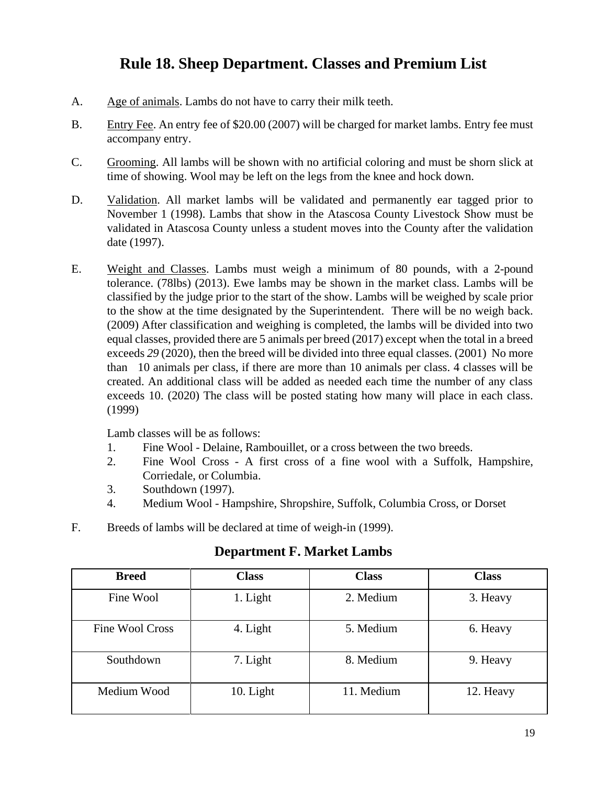## **Rule 18. Sheep Department. Classes and Premium List**

- A. Age of animals. Lambs do not have to carry their milk teeth.
- B. Entry Fee. An entry fee of \$20.00 (2007) will be charged for market lambs. Entry fee must accompany entry.
- C. Grooming. All lambs will be shown with no artificial coloring and must be shorn slick at time of showing. Wool may be left on the legs from the knee and hock down.
- D. Validation. All market lambs will be validated and permanently ear tagged prior to November 1 (1998). Lambs that show in the Atascosa County Livestock Show must be validated in Atascosa County unless a student moves into the County after the validation date (1997).
- E. Weight and Classes. Lambs must weigh a minimum of 80 pounds, with a 2-pound tolerance. (78lbs) (2013). Ewe lambs may be shown in the market class. Lambs will be classified by the judge prior to the start of the show. Lambs will be weighed by scale prior to the show at the time designated by the Superintendent. There will be no weigh back. (2009) After classification and weighing is completed, the lambs will be divided into two equal classes, provided there are 5 animals per breed (2017) except when the total in a breed exceeds *29* (2020), then the breed will be divided into three equal classes. (2001) No more than 10 animals per class, if there are more than 10 animals per class. 4 classes will be created. An additional class will be added as needed each time the number of any class exceeds 10. (2020) The class will be posted stating how many will place in each class. (1999)

Lamb classes will be as follows:

- 1. Fine Wool Delaine, Rambouillet, or a cross between the two breeds.
- 2. Fine Wool Cross A first cross of a fine wool with a Suffolk, Hampshire, Corriedale, or Columbia.
- 3. Southdown (1997).
- 4. Medium Wool Hampshire, Shropshire, Suffolk, Columbia Cross, or Dorset
- F. Breeds of lambs will be declared at time of weigh-in (1999).

| <b>Breed</b>    | <b>Class</b> | <b>Class</b> | <b>Class</b> |
|-----------------|--------------|--------------|--------------|
| Fine Wool       | 1. Light     | 2. Medium    | 3. Heavy     |
| Fine Wool Cross | 4. Light     | 5. Medium    | 6. Heavy     |
| Southdown       | 7. Light     | 8. Medium    | 9. Heavy     |
| Medium Wood     | 10. Light    | 11. Medium   | 12. Heavy    |

### **Department F. Market Lambs**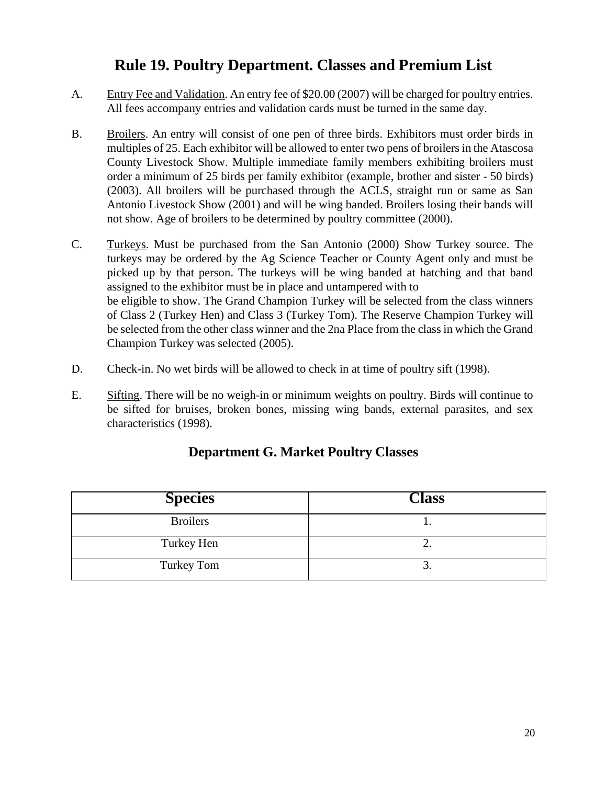## **Rule 19. Poultry Department. Classes and Premium List**

- A. Entry Fee and Validation. An entry fee of \$20.00 (2007) will be charged for poultry entries. All fees accompany entries and validation cards must be turned in the same day.
- B. Broilers. An entry will consist of one pen of three birds. Exhibitors must order birds in multiples of 25. Each exhibitor will be allowed to enter two pens of broilers in the Atascosa County Livestock Show. Multiple immediate family members exhibiting broilers must order a minimum of 25 birds per family exhibitor (example, brother and sister - 50 birds) (2003). All broilers will be purchased through the ACLS, straight run or same as San Antonio Livestock Show (2001) and will be wing banded. Broilers losing their bands will not show. Age of broilers to be determined by poultry committee (2000).
- C. Turkeys. Must be purchased from the San Antonio (2000) Show Turkey source. The turkeys may be ordered by the Ag Science Teacher or County Agent only and must be picked up by that person. The turkeys will be wing banded at hatching and that band assigned to the exhibitor must be in place and untampered with to be eligible to show. The Grand Champion Turkey will be selected from the class winners of Class 2 (Turkey Hen) and Class 3 (Turkey Tom). The Reserve Champion Turkey will be selected from the other class winner and the 2na Place from the class in which the Grand Champion Turkey was selected (2005).
- D. Check-in. No wet birds will be allowed to check in at time of poultry sift (1998).
- E. Sifting. There will be no weigh-in or minimum weights on poultry. Birds will continue to be sifted for bruises, broken bones, missing wing bands, external parasites, and sex characteristics (1998).

| <b>Species</b>  | <b>Class</b> |
|-----------------|--------------|
| <b>Broilers</b> |              |
| Turkey Hen      | ـ ت          |
| Turkey Tom      | ້.           |

### **Department G. Market Poultry Classes**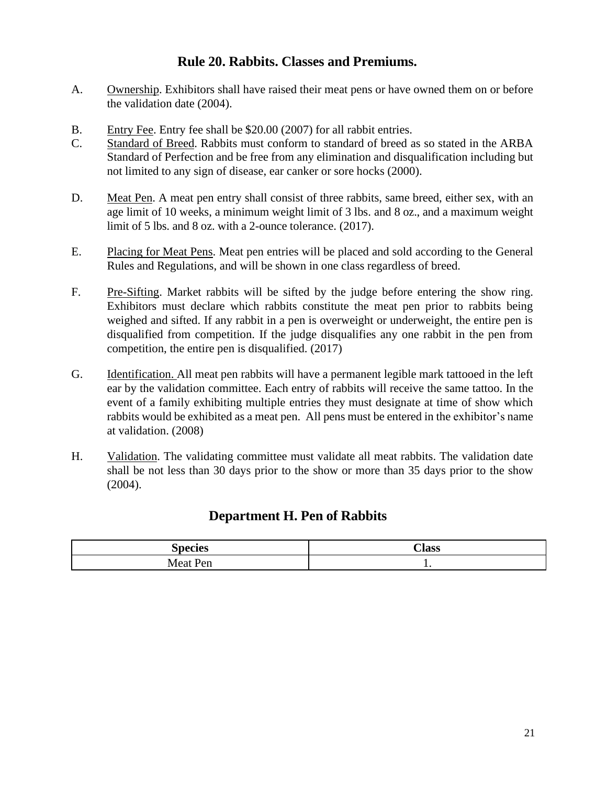### **Rule 20. Rabbits. Classes and Premiums.**

- A. Ownership. Exhibitors shall have raised their meat pens or have owned them on or before the validation date (2004).
- B. Entry Fee. Entry fee shall be \$20.00 (2007) for all rabbit entries.
- C. Standard of Breed. Rabbits must conform to standard of breed as so stated in the ARBA Standard of Perfection and be free from any elimination and disqualification including but not limited to any sign of disease, ear canker or sore hocks (2000).
- D. Meat Pen. A meat pen entry shall consist of three rabbits, same breed, either sex, with an age limit of 10 weeks, a minimum weight limit of 3 lbs. and 8 oz., and a maximum weight limit of 5 lbs. and 8 oz. with a 2-ounce tolerance. (2017).
- E. Placing for Meat Pens. Meat pen entries will be placed and sold according to the General Rules and Regulations, and will be shown in one class regardless of breed.
- F. Pre-Sifting. Market rabbits will be sifted by the judge before entering the show ring. Exhibitors must declare which rabbits constitute the meat pen prior to rabbits being weighed and sifted. If any rabbit in a pen is overweight or underweight, the entire pen is disqualified from competition. If the judge disqualifies any one rabbit in the pen from competition, the entire pen is disqualified. (2017)
- G. Identification. All meat pen rabbits will have a permanent legible mark tattooed in the left ear by the validation committee. Each entry of rabbits will receive the same tattoo. In the event of a family exhibiting multiple entries they must designate at time of show which rabbits would be exhibited as a meat pen. All pens must be entered in the exhibitor's name at validation. (2008)
- H. Validation. The validating committee must validate all meat rabbits. The validation date shall be not less than 30 days prior to the show or more than 35 days prior to the show (2004).

#### **Department H. Pen of Rabbits**

| $   -$ | Alass |
|--------|-------|
| ---    | . .   |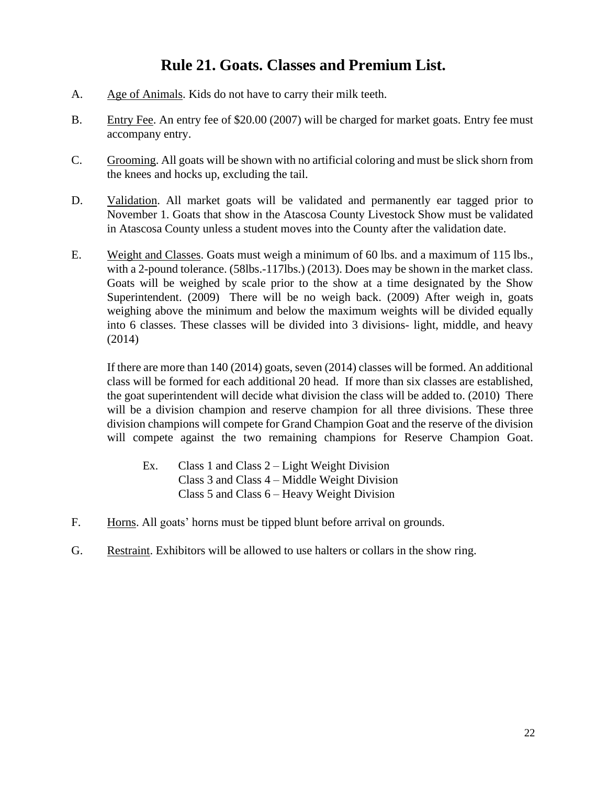## **Rule 21. Goats. Classes and Premium List.**

- A. Age of Animals. Kids do not have to carry their milk teeth.
- B. Entry Fee. An entry fee of \$20.00 (2007) will be charged for market goats. Entry fee must accompany entry.
- C. Grooming. All goats will be shown with no artificial coloring and must be slick shorn from the knees and hocks up, excluding the tail.
- D. Validation. All market goats will be validated and permanently ear tagged prior to November 1. Goats that show in the Atascosa County Livestock Show must be validated in Atascosa County unless a student moves into the County after the validation date.
- E. Weight and Classes. Goats must weigh a minimum of 60 lbs. and a maximum of 115 lbs., with a 2-pound tolerance. (58lbs.-117lbs.) (2013). Does may be shown in the market class. Goats will be weighed by scale prior to the show at a time designated by the Show Superintendent. (2009) There will be no weigh back. (2009) After weigh in, goats weighing above the minimum and below the maximum weights will be divided equally into 6 classes. These classes will be divided into 3 divisions- light, middle, and heavy (2014)

If there are more than 140 (2014) goats, seven (2014) classes will be formed. An additional class will be formed for each additional 20 head. If more than six classes are established, the goat superintendent will decide what division the class will be added to. (2010) There will be a division champion and reserve champion for all three divisions. These three division champions will compete for Grand Champion Goat and the reserve of the division will compete against the two remaining champions for Reserve Champion Goat.

- Ex. Class 1 and Class 2 Light Weight Division Class 3 and Class 4 – Middle Weight Division Class 5 and Class 6 – Heavy Weight Division
- F. Horns. All goats' horns must be tipped blunt before arrival on grounds.
- G. Restraint. Exhibitors will be allowed to use halters or collars in the show ring.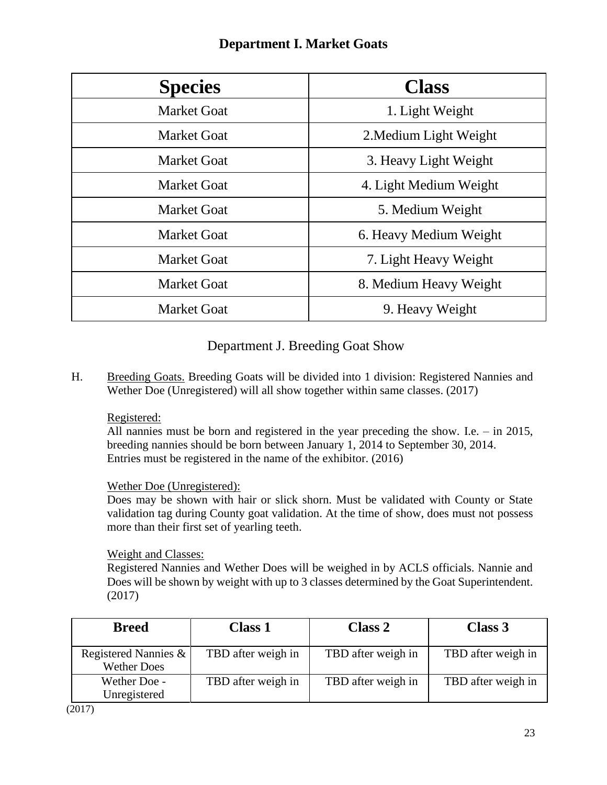| <b>Species</b>     | <b>Class</b>           |
|--------------------|------------------------|
| <b>Market Goat</b> | 1. Light Weight        |
| <b>Market Goat</b> | 2. Medium Light Weight |
| <b>Market Goat</b> | 3. Heavy Light Weight  |
| <b>Market Goat</b> | 4. Light Medium Weight |
| <b>Market Goat</b> | 5. Medium Weight       |
| <b>Market Goat</b> | 6. Heavy Medium Weight |
| <b>Market Goat</b> | 7. Light Heavy Weight  |
| <b>Market Goat</b> | 8. Medium Heavy Weight |
| <b>Market Goat</b> | 9. Heavy Weight        |

### **Department I. Market Goats**

### Department J. Breeding Goat Show

H. Breeding Goats. Breeding Goats will be divided into 1 division: Registered Nannies and Wether Doe (Unregistered) will all show together within same classes. (2017)

#### Registered:

All nannies must be born and registered in the year preceding the show. I.e. – in 2015, breeding nannies should be born between January 1, 2014 to September 30, 2014. Entries must be registered in the name of the exhibitor. (2016)

#### Wether Doe (Unregistered):

Does may be shown with hair or slick shorn. Must be validated with County or State validation tag during County goat validation. At the time of show, does must not possess more than their first set of yearling teeth.

#### Weight and Classes:

Registered Nannies and Wether Does will be weighed in by ACLS officials. Nannie and Does will be shown by weight with up to 3 classes determined by the Goat Superintendent. (2017)

| <b>Breed</b>                               | <b>Class 1</b>     | Class 2            | Class 3            |
|--------------------------------------------|--------------------|--------------------|--------------------|
| Registered Nannies &<br><b>Wether Does</b> | TBD after weigh in | TBD after weigh in | TBD after weigh in |
| Wether Doe -<br>Unregistered               | TBD after weigh in | TBD after weigh in | TBD after weigh in |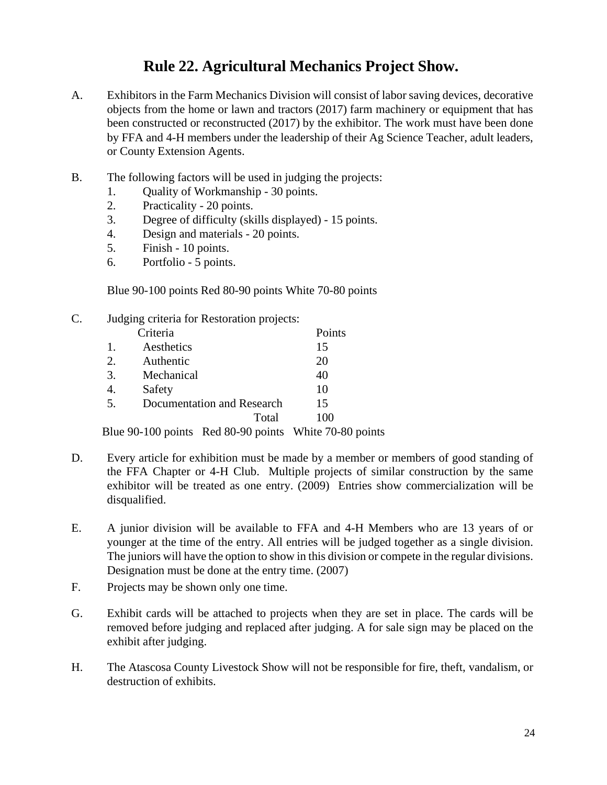## **Rule 22. Agricultural Mechanics Project Show.**

- A. Exhibitors in the Farm Mechanics Division will consist of labor saving devices, decorative objects from the home or lawn and tractors (2017) farm machinery or equipment that has been constructed or reconstructed (2017) by the exhibitor. The work must have been done by FFA and 4-H members under the leadership of their Ag Science Teacher, adult leaders, or County Extension Agents.
- B. The following factors will be used in judging the projects:
	- 1. Quality of Workmanship 30 points.
	- 2. Practicality 20 points.
	- 3. Degree of difficulty (skills displayed) 15 points.
	- 4. Design and materials 20 points.
	- 5. Finish 10 points.
	- 6. Portfolio 5 points.

Blue 90-100 points Red 80-90 points White 70-80 points

C. Judging criteria for Restoration projects: Criteria Points 1. Aesthetics 15 2. Authentic 20 3. Mechanical 40 4. Safety 10 5. Documentation and Research 15 Total 100

Blue 90-100 points Red 80-90 points White 70-80 points

- D. Every article for exhibition must be made by a member or members of good standing of the FFA Chapter or 4-H Club. Multiple projects of similar construction by the same exhibitor will be treated as one entry. (2009) Entries show commercialization will be disqualified.
- E. A junior division will be available to FFA and 4-H Members who are 13 years of or younger at the time of the entry. All entries will be judged together as a single division. The juniors will have the option to show in this division or compete in the regular divisions. Designation must be done at the entry time. (2007)
- F. Projects may be shown only one time.
- G. Exhibit cards will be attached to projects when they are set in place. The cards will be removed before judging and replaced after judging. A for sale sign may be placed on the exhibit after judging.
- H. The Atascosa County Livestock Show will not be responsible for fire, theft, vandalism, or destruction of exhibits.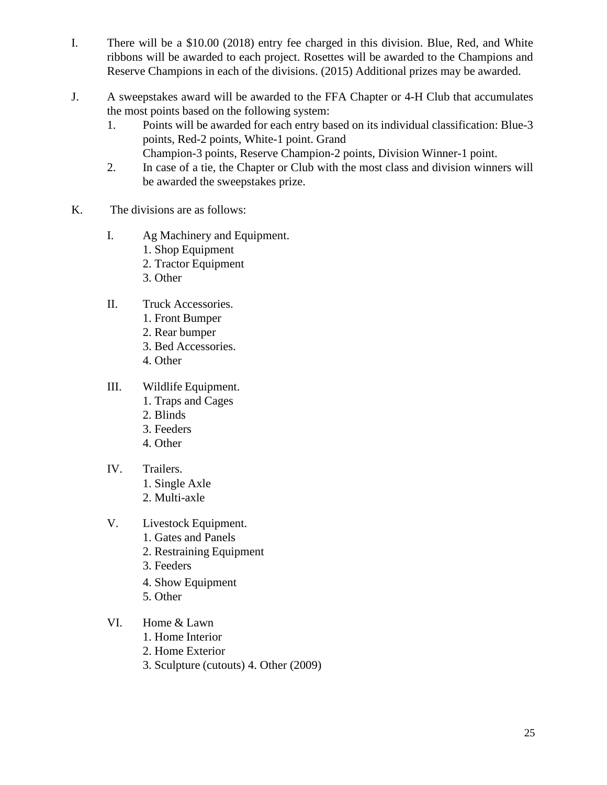- I. There will be a \$10.00 (2018) entry fee charged in this division. Blue, Red, and White ribbons will be awarded to each project. Rosettes will be awarded to the Champions and Reserve Champions in each of the divisions. (2015) Additional prizes may be awarded.
- J. A sweepstakes award will be awarded to the FFA Chapter or 4-H Club that accumulates the most points based on the following system:
	- 1. Points will be awarded for each entry based on its individual classification: Blue-3 points, Red-2 points, White-1 point. Grand Champion-3 points, Reserve Champion-2 points, Division Winner-1 point.
	- 2. In case of a tie, the Chapter or Club with the most class and division winners will be awarded the sweepstakes prize.
- K. The divisions are as follows:
	- I. Ag Machinery and Equipment.
		- 1. Shop Equipment
		- 2. Tractor Equipment
		- 3. Other
	- II. Truck Accessories.
		- 1. Front Bumper
		- 2. Rear bumper
		- 3. Bed Accessories.
		- 4. Other
	- III. Wildlife Equipment.
		- 1. Traps and Cages
		- 2. Blinds
		- 3. Feeders
		- 4. Other
	- IV. Trailers.
		- 1. Single Axle
		- 2. Multi-axle
	- V. Livestock Equipment.
		- 1. Gates and Panels
		- 2. Restraining Equipment
		- 3. Feeders
		- 4. Show Equipment
		- 5. Other
	- VI. Home & Lawn
		- 1. Home Interior
		- 2. Home Exterior
		- 3. Sculpture (cutouts) 4. Other (2009)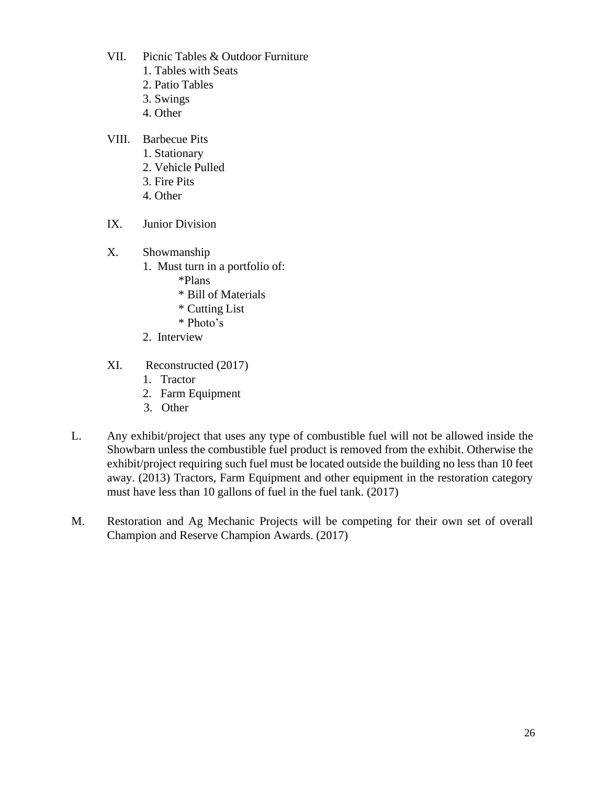- VII. Picnic Tables & Outdoor Furniture
	- 1. Tables with Seats
	- 2. Patio Tables
	- 3. Swings
	- 4. Other
- VIII. Barbecue Pits
	- 1. Stationary
	- 2. Vehicle Pulled
	- 3. Fire Pits
	- 4. Other
- IX. Junior Division
- X. Showmanship
	- 1. Must turn in a portfolio of:
		- \*Plans
		- \* Bill of Materials
		- \* Cutting List
		- \* Photo's
	- 2. Interview
- XI. Reconstructed (2017)
	- 1. Tractor
	- 2. Farm Equipment
	- 3. Other
- L. Any exhibit/project that uses any type of combustible fuel will not be allowed inside the Showbarn unless the combustible fuel product is removed from the exhibit. Otherwise the exhibit/project requiring such fuel must be located outside the building no less than 10 feet away. (2013) Tractors, Farm Equipment and other equipment in the restoration category must have less than 10 gallons of fuel in the fuel tank. (2017)
- M. Restoration and Ag Mechanic Projects will be competing for their own set of overall Champion and Reserve Champion Awards. (2017)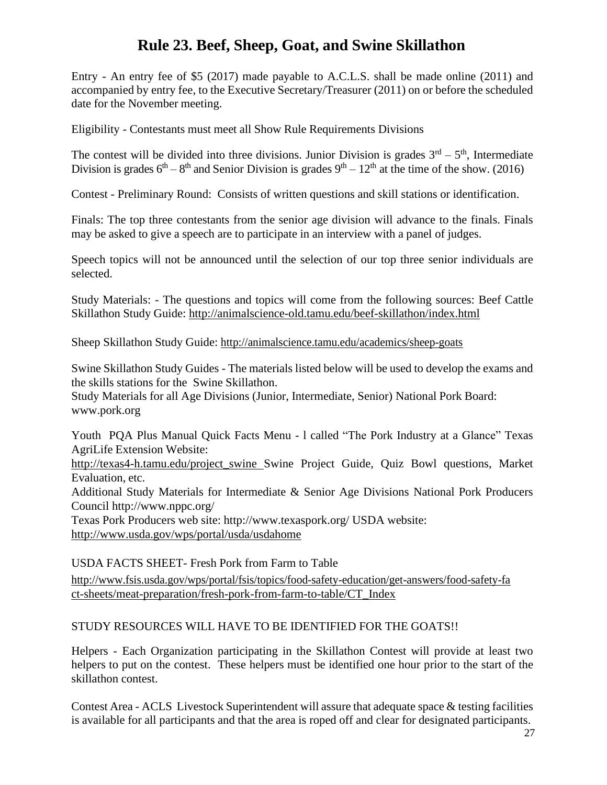## **Rule 23. Beef, Sheep, Goat, and Swine Skillathon**

Entry - An entry fee of \$5 (2017) made payable to A.C.L.S. shall be made online (2011) and accompanied by entry fee, to the Executive Secretary/Treasurer (2011) on or before the scheduled date for the November meeting.

Eligibility - Contestants must meet all Show Rule Requirements Divisions

The contest will be divided into three divisions. Junior Division is grades  $3<sup>rd</sup> - 5<sup>th</sup>$ , Intermediate Division is grades  $6<sup>th</sup> - 8<sup>th</sup>$  and Senior Division is grades  $9<sup>th</sup> - 12<sup>th</sup>$  at the time of the show. (2016)

Contest - Preliminary Round: Consists of written questions and skill stations or identification.

Finals: The top three contestants from the senior age division will advance to the finals. Finals may be asked to give a speech are to participate in an interview with a panel of judges.

Speech topics will not be announced until the selection of our top three senior individuals are selected.

Study Materials: - The questions and topics will come from the following sources: Beef Cattle Skillathon Study Guide: <http://animalscience-old.tamu.edu/beef-skillathon/index.html>

Sheep Skillathon Study Guide: <http://animalscience.tamu.edu/academics/sheep-goats>

Swine Skillathon Study Guides - The materials listed below will be used to develop the exams and the skills stations for the Swine Skillathon.

Study Materials for all Age Divisions (Junior, Intermediate, Senior) National Pork Board: [www.pork.org](http://www.pork.org/)

Youth PQA Plus Manual Quick Facts Menu - l called "The Pork Industry at a Glance" Texas AgriLife Extension Website:

[http://texas4-h.tamu.edu/project\\_swine](http://texas4-h.tamu.edu/project_swine) Swine Project Guide, Quiz Bowl questions, Market Evaluation, etc.

Additional Study Materials for Intermediate & Senior Age Divisions National Pork Producers Council <http://www.nppc.org/>

Texas Pork Producers web site: <http://www.texaspork.org/> USDA website: <http://www.usda.gov/wps/portal/usda/usdahome>

USDA FACTS SHEET- Fresh Pork from Farm to Table

[http://www.fsis.usda.gov/wps/portal/fsis/topics/food-safety-education/get-answers/food-safety-fa](http://www.fsis.usda.gov/wps/portal/fsis/topics/food-safety-education/get-answers/food-safety-fact-sheets/meat-preparation/fresh-pork-from-farm-to-table/CT_Index) [ct-sheets/meat-preparation/fresh-pork-from-farm-to-table/CT\\_Index](http://www.fsis.usda.gov/wps/portal/fsis/topics/food-safety-education/get-answers/food-safety-fact-sheets/meat-preparation/fresh-pork-from-farm-to-table/CT_Index)

#### STUDY RESOURCES WILL HAVE TO BE IDENTIFIED FOR THE GOATS!!

Helpers - Each Organization participating in the Skillathon Contest will provide at least two helpers to put on the contest. These helpers must be identified one hour prior to the start of the skillathon contest.

Contest Area - ACLS Livestock Superintendent will assure that adequate space & testing facilities is available for all participants and that the area is roped off and clear for designated participants.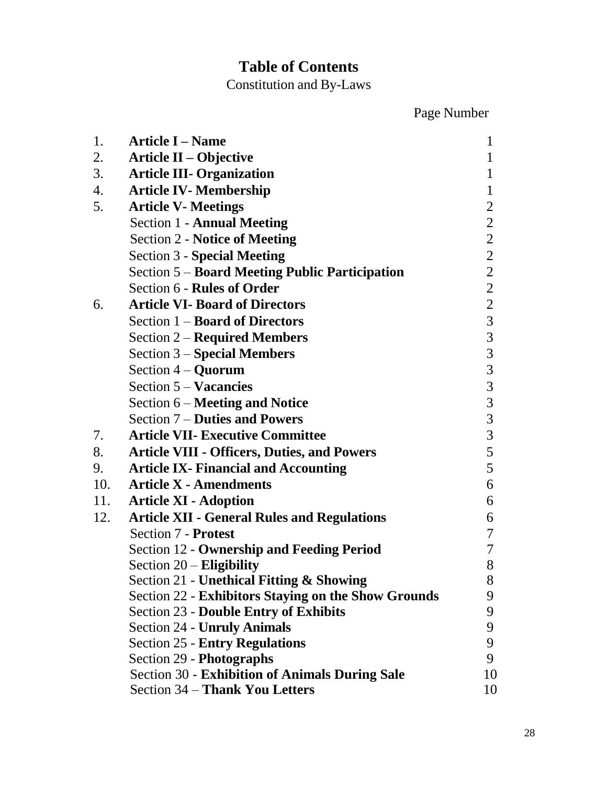## **Table of Contents**

Constitution and By-Laws

Page Number

| 1.  | <b>Article I – Name</b>                                    | 1              |
|-----|------------------------------------------------------------|----------------|
| 2.  | <b>Article II – Objective</b>                              | 1              |
| 3.  | <b>Article III- Organization</b>                           | 1              |
| 4.  | <b>Article IV- Membership</b>                              | $\mathbf{1}$   |
| 5.  | <b>Article V- Meetings</b>                                 | $\overline{2}$ |
|     | <b>Section 1 - Annual Meeting</b>                          | $\overline{2}$ |
|     | <b>Section 2 - Notice of Meeting</b>                       | $\overline{2}$ |
|     | <b>Section 3 - Special Meeting</b>                         | $\overline{2}$ |
|     | <b>Section 5 – Board Meeting Public Participation</b>      | $\overline{2}$ |
|     | Section 6 - Rules of Order                                 | $\overline{2}$ |
| 6.  | <b>Article VI- Board of Directors</b>                      | $\overline{2}$ |
|     | Section $1 -$ <b>Board of Directors</b>                    | $\overline{3}$ |
|     | <b>Section 2 – Required Members</b>                        | $\mathfrak{Z}$ |
|     | <b>Section 3 – Special Members</b>                         | $\mathfrak{Z}$ |
|     | Section $4 -$ <b>Quorum</b>                                | $\mathfrak{Z}$ |
|     | Section $5 - Vacancies$                                    | 3              |
|     | Section 6 – Meeting and Notice                             | $\mathfrak{Z}$ |
|     | Section 7 – Duties and Powers                              | $\mathfrak{Z}$ |
| 7.  | <b>Article VII- Executive Committee</b>                    | $\overline{3}$ |
| 8.  | <b>Article VIII - Officers, Duties, and Powers</b>         | 5              |
| 9.  | <b>Article IX- Financial and Accounting</b>                | 5              |
| 10. | <b>Article X - Amendments</b>                              | 6              |
| 11. | <b>Article XI - Adoption</b>                               | 6              |
| 12. | <b>Article XII - General Rules and Regulations</b>         | 6              |
|     | Section 7 - Protest                                        | 7              |
|     | <b>Section 12 - Ownership and Feeding Period</b>           | 7              |
|     | Section $20$ – Eligibility                                 | 8              |
|     | <b>Section 21 - Unethical Fitting &amp; Showing</b>        | C<br>8         |
|     | <b>Section 22 - Exhibitors Staying on the Show Grounds</b> | 9              |
|     | <b>Section 23 - Double Entry of Exhibits</b>               | 9              |
|     | <b>Section 24 - Unruly Animals</b>                         | 9              |
|     | <b>Section 25 - Entry Regulations</b>                      | 9              |
|     | Section 29 - Photographs                                   | 9              |
|     | <b>Section 30 - Exhibition of Animals During Sale</b>      | 10             |
|     | Section 34 – Thank You Letters                             | 10             |